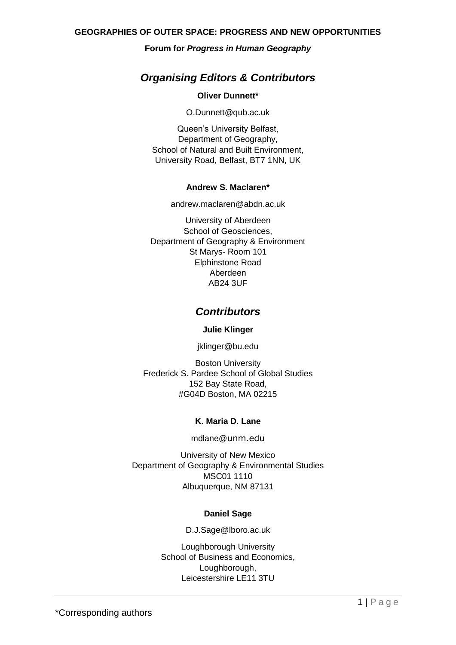## **Forum for** *Progress in Human Geography*

# *Organising Editors & Contributors*

## **Oliver Dunnett\***

O.Dunnett@qub.ac.uk

Queen's University Belfast, Department of Geography, School of Natural and Built Environment, University Road, Belfast, BT7 1NN, UK

## **Andrew S. Maclaren\***

andrew.maclaren@abdn.ac.uk

University of Aberdeen School of Geosciences, Department of Geography & Environment St Marys- Room 101 Elphinstone Road Aberdeen AB24 3UF

# *Contributors*

## **Julie Klinger**

jklinger@bu.edu

Boston University Frederick S. Pardee School of Global Studies 152 Bay State Road, #G04D Boston, MA 02215

## **K. Maria D. Lane**

mdlane@unm.edu

University of New Mexico Department of Geography & Environmental Studies MSC01 1110 Albuquerque, NM 87131

## **Daniel Sage**

D.J.Sage@lboro.ac.uk

Loughborough University School of Business and Economics, Loughborough, Leicestershire LE11 3TU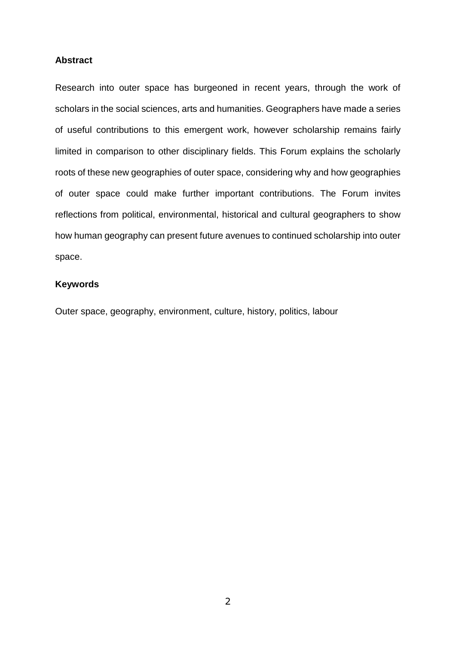## **Abstract**

Research into outer space has burgeoned in recent years, through the work of scholars in the social sciences, arts and humanities. Geographers have made a series of useful contributions to this emergent work, however scholarship remains fairly limited in comparison to other disciplinary fields. This Forum explains the scholarly roots of these new geographies of outer space, considering why and how geographies of outer space could make further important contributions. The Forum invites reflections from political, environmental, historical and cultural geographers to show how human geography can present future avenues to continued scholarship into outer space.

## **Keywords**

Outer space, geography, environment, culture, history, politics, labour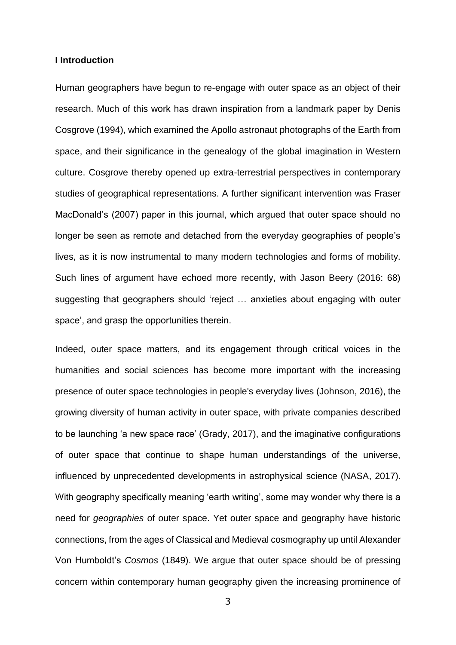## **I Introduction**

Human geographers have begun to re-engage with outer space as an object of their research. Much of this work has drawn inspiration from a landmark paper by Denis Cosgrove (1994), which examined the Apollo astronaut photographs of the Earth from space, and their significance in the genealogy of the global imagination in Western culture. Cosgrove thereby opened up extra-terrestrial perspectives in contemporary studies of geographical representations. A further significant intervention was Fraser MacDonald's (2007) paper in this journal, which argued that outer space should no longer be seen as remote and detached from the everyday geographies of people's lives, as it is now instrumental to many modern technologies and forms of mobility. Such lines of argument have echoed more recently, with Jason Beery (2016: 68) suggesting that geographers should 'reject … anxieties about engaging with outer space', and grasp the opportunities therein.

Indeed, outer space matters, and its engagement through critical voices in the humanities and social sciences has become more important with the increasing presence of outer space technologies in people's everyday lives (Johnson, 2016), the growing diversity of human activity in outer space, with private companies described to be launching 'a new space race' (Grady, 2017), and the imaginative configurations of outer space that continue to shape human understandings of the universe, influenced by unprecedented developments in astrophysical science (NASA, 2017). With geography specifically meaning 'earth writing', some may wonder why there is a need for *geographies* of outer space. Yet outer space and geography have historic connections, from the ages of Classical and Medieval cosmography up until Alexander Von Humboldt's *Cosmos* (1849). We argue that outer space should be of pressing concern within contemporary human geography given the increasing prominence of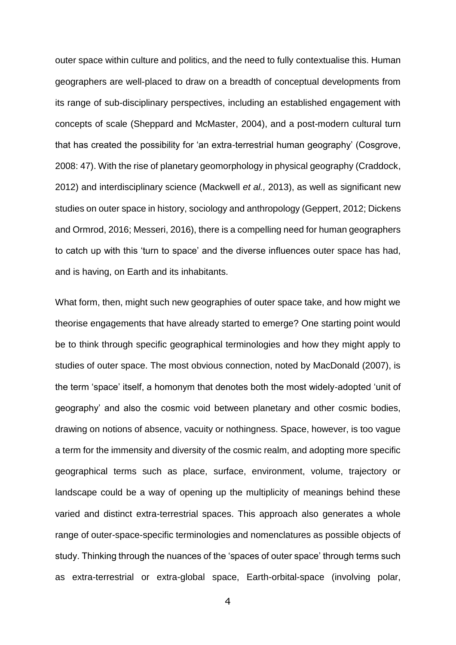outer space within culture and politics, and the need to fully contextualise this. Human geographers are well-placed to draw on a breadth of conceptual developments from its range of sub-disciplinary perspectives, including an established engagement with concepts of scale (Sheppard and McMaster, 2004), and a post-modern cultural turn that has created the possibility for 'an extra-terrestrial human geography' (Cosgrove, 2008: 47). With the rise of planetary geomorphology in physical geography (Craddock, 2012) and interdisciplinary science (Mackwell *et al.,* 2013), as well as significant new studies on outer space in history, sociology and anthropology (Geppert, 2012; Dickens and Ormrod, 2016; Messeri, 2016), there is a compelling need for human geographers to catch up with this 'turn to space' and the diverse influences outer space has had, and is having, on Earth and its inhabitants.

What form, then, might such new geographies of outer space take, and how might we theorise engagements that have already started to emerge? One starting point would be to think through specific geographical terminologies and how they might apply to studies of outer space. The most obvious connection, noted by MacDonald (2007), is the term 'space' itself, a homonym that denotes both the most widely-adopted 'unit of geography' and also the cosmic void between planetary and other cosmic bodies, drawing on notions of absence, vacuity or nothingness. Space, however, is too vague a term for the immensity and diversity of the cosmic realm, and adopting more specific geographical terms such as place, surface, environment, volume, trajectory or landscape could be a way of opening up the multiplicity of meanings behind these varied and distinct extra-terrestrial spaces. This approach also generates a whole range of outer-space-specific terminologies and nomenclatures as possible objects of study. Thinking through the nuances of the 'spaces of outer space' through terms such as extra-terrestrial or extra-global space, Earth-orbital-space (involving polar,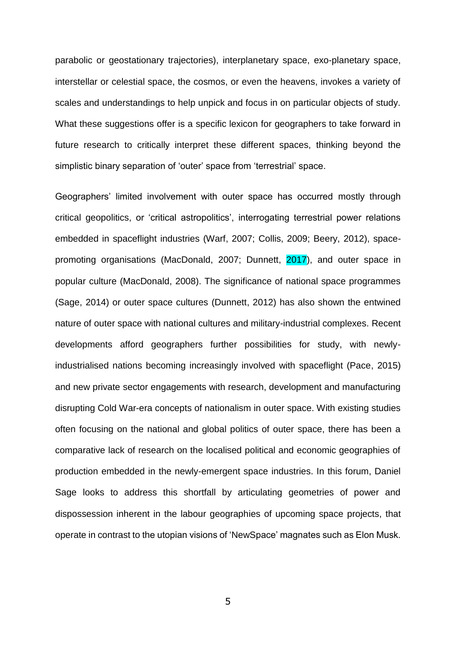parabolic or geostationary trajectories), interplanetary space, exo-planetary space, interstellar or celestial space, the cosmos, or even the heavens, invokes a variety of scales and understandings to help unpick and focus in on particular objects of study. What these suggestions offer is a specific lexicon for geographers to take forward in future research to critically interpret these different spaces, thinking beyond the simplistic binary separation of 'outer' space from 'terrestrial' space.

Geographers' limited involvement with outer space has occurred mostly through critical geopolitics, or 'critical astropolitics', interrogating terrestrial power relations embedded in spaceflight industries (Warf, 2007; Collis, 2009; Beery, 2012), spacepromoting organisations (MacDonald, 2007; Dunnett, 2017), and outer space in popular culture (MacDonald, 2008). The significance of national space programmes (Sage, 2014) or outer space cultures (Dunnett, 2012) has also shown the entwined nature of outer space with national cultures and military-industrial complexes. Recent developments afford geographers further possibilities for study, with newlyindustrialised nations becoming increasingly involved with spaceflight (Pace, 2015) and new private sector engagements with research, development and manufacturing disrupting Cold War-era concepts of nationalism in outer space. With existing studies often focusing on the national and global politics of outer space, there has been a comparative lack of research on the localised political and economic geographies of production embedded in the newly-emergent space industries. In this forum, Daniel Sage looks to address this shortfall by articulating geometries of power and dispossession inherent in the labour geographies of upcoming space projects, that operate in contrast to the utopian visions of 'NewSpace' magnates such as Elon Musk.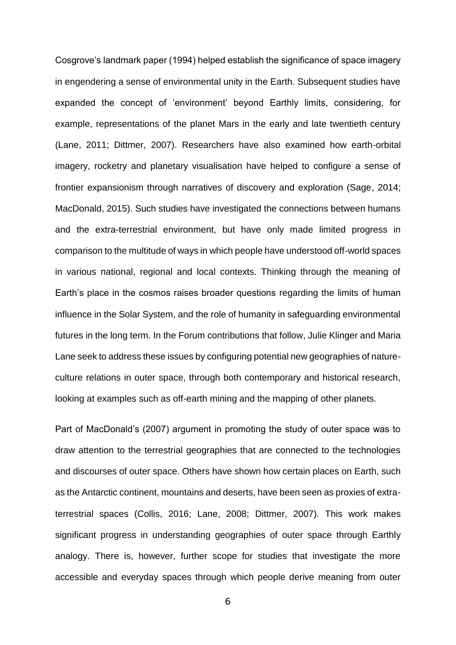Cosgrove's landmark paper (1994) helped establish the significance of space imagery in engendering a sense of environmental unity in the Earth. Subsequent studies have expanded the concept of 'environment' beyond Earthly limits, considering, for example, representations of the planet Mars in the early and late twentieth century (Lane, 2011; Dittmer, 2007). Researchers have also examined how earth-orbital imagery, rocketry and planetary visualisation have helped to configure a sense of frontier expansionism through narratives of discovery and exploration (Sage, 2014; MacDonald, 2015). Such studies have investigated the connections between humans and the extra-terrestrial environment, but have only made limited progress in comparison to the multitude of ways in which people have understood off-world spaces in various national, regional and local contexts. Thinking through the meaning of Earth's place in the cosmos raises broader questions regarding the limits of human influence in the Solar System, and the role of humanity in safeguarding environmental futures in the long term. In the Forum contributions that follow, Julie Klinger and Maria Lane seek to address these issues by configuring potential new geographies of natureculture relations in outer space, through both contemporary and historical research, looking at examples such as off-earth mining and the mapping of other planets.

Part of MacDonald's (2007) argument in promoting the study of outer space was to draw attention to the terrestrial geographies that are connected to the technologies and discourses of outer space. Others have shown how certain places on Earth, such as the Antarctic continent, mountains and deserts, have been seen as proxies of extraterrestrial spaces (Collis, 2016; Lane, 2008; Dittmer, 2007). This work makes significant progress in understanding geographies of outer space through Earthly analogy. There is, however, further scope for studies that investigate the more accessible and everyday spaces through which people derive meaning from outer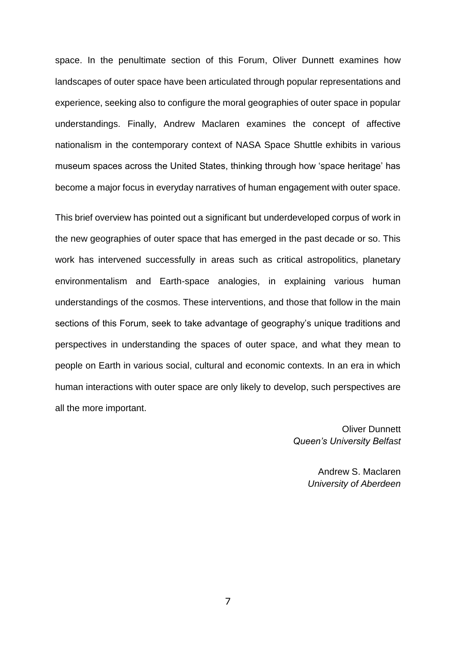space. In the penultimate section of this Forum, Oliver Dunnett examines how landscapes of outer space have been articulated through popular representations and experience, seeking also to configure the moral geographies of outer space in popular understandings. Finally, Andrew Maclaren examines the concept of affective nationalism in the contemporary context of NASA Space Shuttle exhibits in various museum spaces across the United States, thinking through how 'space heritage' has become a major focus in everyday narratives of human engagement with outer space.

This brief overview has pointed out a significant but underdeveloped corpus of work in the new geographies of outer space that has emerged in the past decade or so. This work has intervened successfully in areas such as critical astropolitics, planetary environmentalism and Earth-space analogies, in explaining various human understandings of the cosmos. These interventions, and those that follow in the main sections of this Forum, seek to take advantage of geography's unique traditions and perspectives in understanding the spaces of outer space, and what they mean to people on Earth in various social, cultural and economic contexts. In an era in which human interactions with outer space are only likely to develop, such perspectives are all the more important.

> Oliver Dunnett *Queen's University Belfast*

> > Andrew S. Maclaren *University of Aberdeen*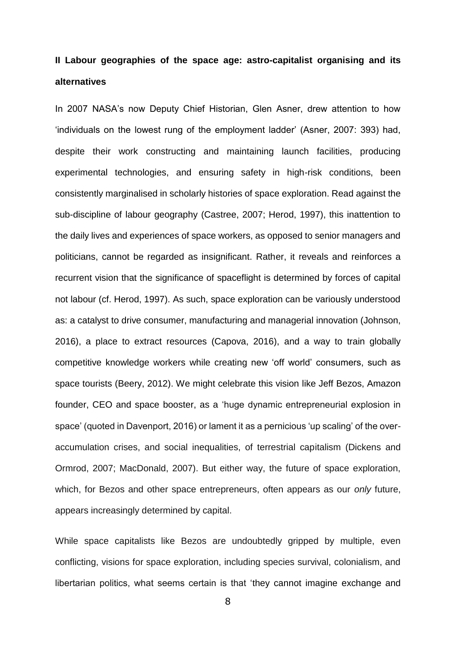# **II Labour geographies of the space age: astro-capitalist organising and its alternatives**

In 2007 NASA's now Deputy Chief Historian, Glen Asner, drew attention to how 'individuals on the lowest rung of the employment ladder' (Asner, 2007: 393) had, despite their work constructing and maintaining launch facilities, producing experimental technologies, and ensuring safety in high-risk conditions, been consistently marginalised in scholarly histories of space exploration. Read against the sub-discipline of labour geography (Castree, 2007; Herod, 1997), this inattention to the daily lives and experiences of space workers, as opposed to senior managers and politicians, cannot be regarded as insignificant. Rather, it reveals and reinforces a recurrent vision that the significance of spaceflight is determined by forces of capital not labour (cf. Herod, 1997). As such, space exploration can be variously understood as: a catalyst to drive consumer, manufacturing and managerial innovation (Johnson, 2016), a place to extract resources (Capova, 2016), and a way to train globally competitive knowledge workers while creating new 'off world' consumers, such as space tourists (Beery, 2012). We might celebrate this vision like Jeff Bezos, Amazon founder, CEO and space booster, as a 'huge dynamic entrepreneurial explosion in space' (quoted in Davenport, 2016) or lament it as a pernicious 'up scaling' of the overaccumulation crises, and social inequalities, of terrestrial capitalism (Dickens and Ormrod, 2007; MacDonald, 2007). But either way, the future of space exploration, which, for Bezos and other space entrepreneurs, often appears as our *only* future, appears increasingly determined by capital.

While space capitalists like Bezos are undoubtedly gripped by multiple, even conflicting, visions for space exploration, including species survival, colonialism, and libertarian politics, what seems certain is that 'they cannot imagine exchange and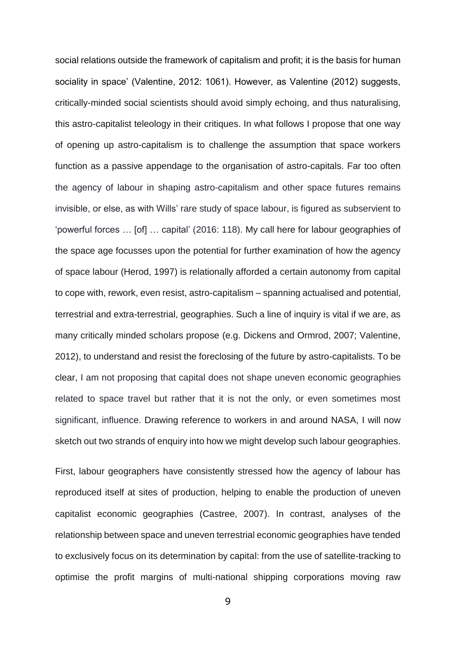social relations outside the framework of capitalism and profit; it is the basis for human sociality in space' (Valentine, 2012: 1061). However, as Valentine (2012) suggests, critically-minded social scientists should avoid simply echoing, and thus naturalising, this astro-capitalist teleology in their critiques. In what follows I propose that one way of opening up astro-capitalism is to challenge the assumption that space workers function as a passive appendage to the organisation of astro-capitals. Far too often the agency of labour in shaping astro-capitalism and other space futures remains invisible, or else, as with Wills' rare study of space labour, is figured as subservient to 'powerful forces … [of] … capital' (2016: 118). My call here for labour geographies of the space age focusses upon the potential for further examination of how the agency of space labour (Herod, 1997) is relationally afforded a certain autonomy from capital to cope with, rework, even resist, astro-capitalism – spanning actualised and potential, terrestrial and extra-terrestrial, geographies. Such a line of inquiry is vital if we are, as many critically minded scholars propose (e.g. Dickens and Ormrod, 2007; Valentine, 2012), to understand and resist the foreclosing of the future by astro-capitalists. To be clear, I am not proposing that capital does not shape uneven economic geographies related to space travel but rather that it is not the only, or even sometimes most significant, influence. Drawing reference to workers in and around NASA, I will now sketch out two strands of enquiry into how we might develop such labour geographies.

First, labour geographers have consistently stressed how the agency of labour has reproduced itself at sites of production, helping to enable the production of uneven capitalist economic geographies (Castree, 2007). In contrast, analyses of the relationship between space and uneven terrestrial economic geographies have tended to exclusively focus on its determination by capital: from the use of satellite-tracking to optimise the profit margins of multi-national shipping corporations moving raw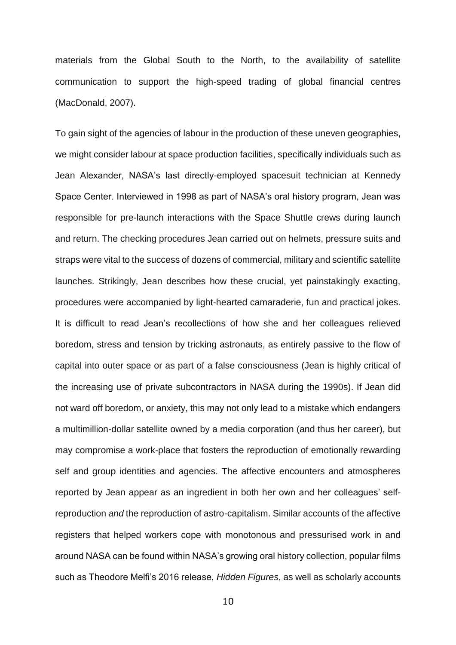materials from the Global South to the North, to the availability of satellite communication to support the high-speed trading of global financial centres (MacDonald, 2007).

To gain sight of the agencies of labour in the production of these uneven geographies, we might consider labour at space production facilities, specifically individuals such as Jean Alexander, NASA's last directly-employed spacesuit technician at Kennedy Space Center. Interviewed in 1998 as part of NASA's oral history program, Jean was responsible for pre-launch interactions with the Space Shuttle crews during launch and return. The checking procedures Jean carried out on helmets, pressure suits and straps were vital to the success of dozens of commercial, military and scientific satellite launches. Strikingly, Jean describes how these crucial, yet painstakingly exacting, procedures were accompanied by light-hearted camaraderie, fun and practical jokes. It is difficult to read Jean's recollections of how she and her colleagues relieved boredom, stress and tension by tricking astronauts, as entirely passive to the flow of capital into outer space or as part of a false consciousness (Jean is highly critical of the increasing use of private subcontractors in NASA during the 1990s). If Jean did not ward off boredom, or anxiety, this may not only lead to a mistake which endangers a multimillion-dollar satellite owned by a media corporation (and thus her career), but may compromise a work-place that fosters the reproduction of emotionally rewarding self and group identities and agencies. The affective encounters and atmospheres reported by Jean appear as an ingredient in both her own and her colleagues' selfreproduction *and* the reproduction of astro-capitalism. Similar accounts of the affective registers that helped workers cope with monotonous and pressurised work in and around NASA can be found within NASA's growing oral history collection, popular films such as Theodore Melfi's 2016 release, *Hidden Figures*, as well as scholarly accounts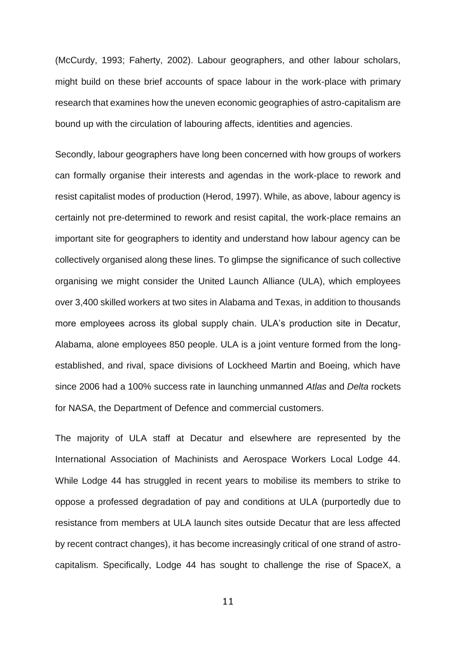(McCurdy, 1993; Faherty, 2002). Labour geographers, and other labour scholars, might build on these brief accounts of space labour in the work-place with primary research that examines how the uneven economic geographies of astro-capitalism are bound up with the circulation of labouring affects, identities and agencies.

Secondly, labour geographers have long been concerned with how groups of workers can formally organise their interests and agendas in the work-place to rework and resist capitalist modes of production (Herod, 1997). While, as above, labour agency is certainly not pre-determined to rework and resist capital, the work-place remains an important site for geographers to identity and understand how labour agency can be collectively organised along these lines. To glimpse the significance of such collective organising we might consider the United Launch Alliance (ULA), which employees over 3,400 skilled workers at two sites in Alabama and Texas, in addition to thousands more employees across its global supply chain. ULA's production site in Decatur, Alabama, alone employees 850 people. ULA is a joint venture formed from the longestablished, and rival, space divisions of Lockheed Martin and Boeing, which have since 2006 had a 100% success rate in launching unmanned *Atlas* and *Delta* rockets for NASA, the Department of Defence and commercial customers.

The majority of ULA staff at Decatur and elsewhere are represented by the International Association of Machinists and Aerospace Workers Local Lodge 44. While Lodge 44 has struggled in recent years to mobilise its members to strike to oppose a professed degradation of pay and conditions at ULA (purportedly due to resistance from members at ULA launch sites outside Decatur that are less affected by recent contract changes), it has become increasingly critical of one strand of astrocapitalism. Specifically, Lodge 44 has sought to challenge the rise of SpaceX, a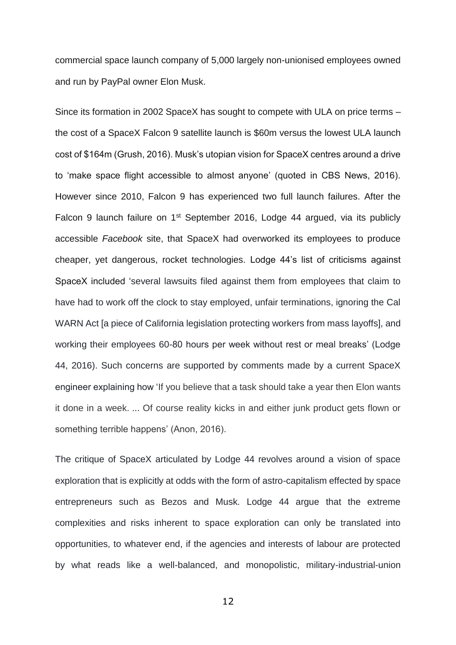commercial space launch company of 5,000 largely non-unionised employees owned and run by PayPal owner Elon Musk.

Since its formation in 2002 SpaceX has sought to compete with ULA on price terms – the cost of a SpaceX Falcon 9 satellite launch is \$60m versus the lowest ULA launch cost of \$164m (Grush, 2016). Musk's utopian vision for SpaceX centres around a drive to 'make space flight accessible to almost anyone' (quoted in CBS News, 2016). However since 2010, Falcon 9 has experienced two full launch failures. After the Falcon 9 launch failure on 1<sup>st</sup> September 2016, Lodge 44 argued, via its publicly accessible *Facebook* site, that SpaceX had overworked its employees to produce cheaper, yet dangerous, rocket technologies. Lodge 44's list of criticisms against SpaceX included 'several lawsuits filed against them from employees that claim to have had to work off the clock to stay employed, unfair terminations, ignoring the Cal WARN Act [a piece of California legislation protecting workers from mass layoffs], and working their employees 60-80 hours per week without rest or meal breaks' (Lodge 44, 2016). Such concerns are supported by comments made by a current SpaceX engineer explaining how 'If you believe that a task should take a year then Elon wants it done in a week. ... Of course reality kicks in and either junk product gets flown or something terrible happens' (Anon, 2016).

The critique of SpaceX articulated by Lodge 44 revolves around a vision of space exploration that is explicitly at odds with the form of astro-capitalism effected by space entrepreneurs such as Bezos and Musk. Lodge 44 argue that the extreme complexities and risks inherent to space exploration can only be translated into opportunities, to whatever end, if the agencies and interests of labour are protected by what reads like a well-balanced, and monopolistic, military-industrial-union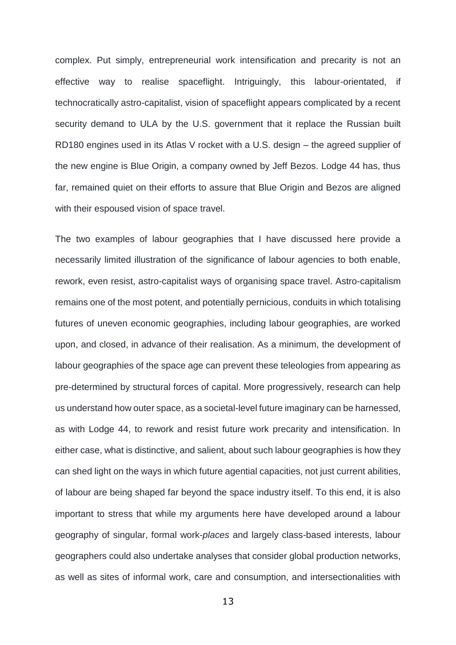complex. Put simply, entrepreneurial work intensification and precarity is not an effective way to realise spaceflight. Intriguingly, this labour-orientated, if technocratically astro-capitalist, vision of spaceflight appears complicated by a recent security demand to ULA by the U.S. government that it replace the Russian built RD180 engines used in its Atlas V rocket with a U.S. design – the agreed supplier of the new engine is Blue Origin, a company owned by Jeff Bezos. Lodge 44 has, thus far, remained quiet on their efforts to assure that Blue Origin and Bezos are aligned with their espoused vision of space travel.

The two examples of labour geographies that I have discussed here provide a necessarily limited illustration of the significance of labour agencies to both enable, rework, even resist, astro-capitalist ways of organising space travel. Astro-capitalism remains one of the most potent, and potentially pernicious, conduits in which totalising futures of uneven economic geographies, including labour geographies, are worked upon, and closed, in advance of their realisation. As a minimum, the development of labour geographies of the space age can prevent these teleologies from appearing as pre-determined by structural forces of capital. More progressively, research can help us understand how outer space, as a societal-level future imaginary can be harnessed, as with Lodge 44, to rework and resist future work precarity and intensification. In either case, what is distinctive, and salient, about such labour geographies is how they can shed light on the ways in which future agential capacities, not just current abilities, of labour are being shaped far beyond the space industry itself. To this end, it is also important to stress that while my arguments here have developed around a labour geography of singular, formal work-*places* and largely class-based interests, labour geographers could also undertake analyses that consider global production networks, as well as sites of informal work, care and consumption, and intersectionalities with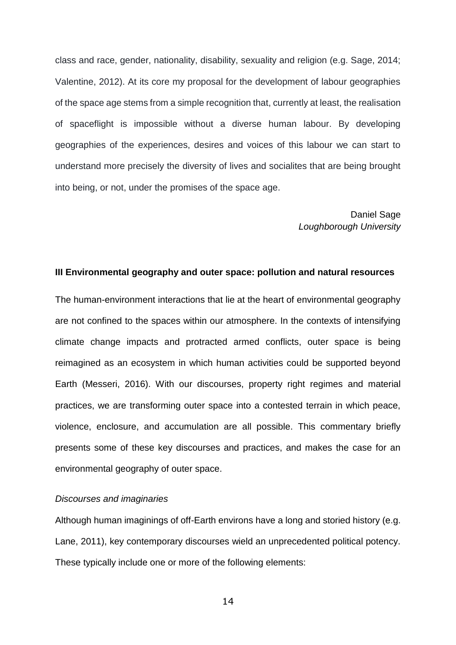class and race, gender, nationality, disability, sexuality and religion (e.g. Sage, 2014; Valentine, 2012). At its core my proposal for the development of labour geographies of the space age stems from a simple recognition that, currently at least, the realisation of spaceflight is impossible without a diverse human labour. By developing geographies of the experiences, desires and voices of this labour we can start to understand more precisely the diversity of lives and socialites that are being brought into being, or not, under the promises of the space age.

## Daniel Sage *Loughborough University*

#### **III Environmental geography and outer space: pollution and natural resources**

The human-environment interactions that lie at the heart of environmental geography are not confined to the spaces within our atmosphere. In the contexts of intensifying climate change impacts and protracted armed conflicts, outer space is being reimagined as an ecosystem in which human activities could be supported beyond Earth (Messeri, 2016). With our discourses, property right regimes and material practices, we are transforming outer space into a contested terrain in which peace, violence, enclosure, and accumulation are all possible. This commentary briefly presents some of these key discourses and practices, and makes the case for an environmental geography of outer space.

## *Discourses and imaginaries*

Although human imaginings of off-Earth environs have a long and storied history (e.g. Lane, 2011), key contemporary discourses wield an unprecedented political potency. These typically include one or more of the following elements: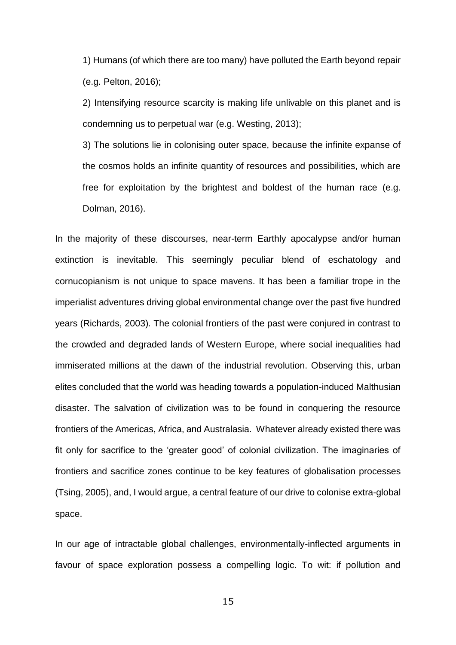1) Humans (of which there are too many) have polluted the Earth beyond repair (e.g. Pelton, 2016);

2) Intensifying resource scarcity is making life unlivable on this planet and is condemning us to perpetual war (e.g. Westing, 2013);

3) The solutions lie in colonising outer space, because the infinite expanse of the cosmos holds an infinite quantity of resources and possibilities, which are free for exploitation by the brightest and boldest of the human race (e.g. Dolman, 2016).

In the majority of these discourses, near-term Earthly apocalypse and/or human extinction is inevitable. This seemingly peculiar blend of eschatology and cornucopianism is not unique to space mavens. It has been a familiar trope in the imperialist adventures driving global environmental change over the past five hundred years (Richards, 2003). The colonial frontiers of the past were conjured in contrast to the crowded and degraded lands of Western Europe, where social inequalities had immiserated millions at the dawn of the industrial revolution. Observing this, urban elites concluded that the world was heading towards a population-induced Malthusian disaster. The salvation of civilization was to be found in conquering the resource frontiers of the Americas, Africa, and Australasia. Whatever already existed there was fit only for sacrifice to the 'greater good' of colonial civilization. The imaginaries of frontiers and sacrifice zones continue to be key features of globalisation processes (Tsing, 2005), and, I would argue, a central feature of our drive to colonise extra-global space.

In our age of intractable global challenges, environmentally-inflected arguments in favour of space exploration possess a compelling logic. To wit: if pollution and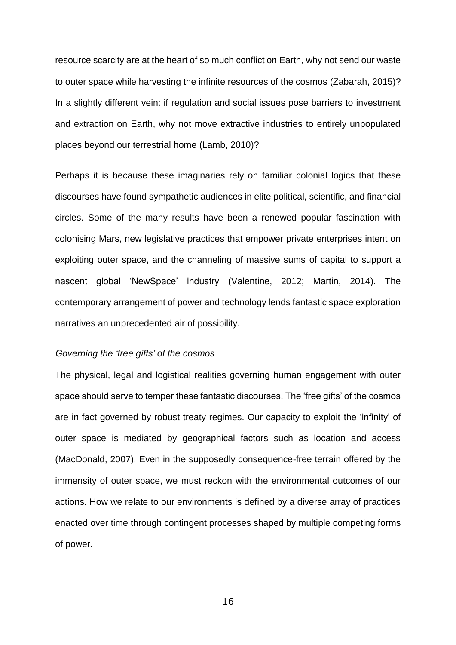resource scarcity are at the heart of so much conflict on Earth, why not send our waste to outer space while harvesting the infinite resources of the cosmos (Zabarah, 2015)? In a slightly different vein: if regulation and social issues pose barriers to investment and extraction on Earth, why not move extractive industries to entirely unpopulated places beyond our terrestrial home (Lamb, 2010)?

Perhaps it is because these imaginaries rely on familiar colonial logics that these discourses have found sympathetic audiences in elite political, scientific, and financial circles. Some of the many results have been a renewed popular fascination with colonising Mars, new legislative practices that empower private enterprises intent on exploiting outer space, and the channeling of massive sums of capital to support a nascent global 'NewSpace' industry (Valentine, 2012; Martin, 2014). The contemporary arrangement of power and technology lends fantastic space exploration narratives an unprecedented air of possibility.

#### *Governing the 'free gifts' of the cosmos*

The physical, legal and logistical realities governing human engagement with outer space should serve to temper these fantastic discourses. The 'free gifts' of the cosmos are in fact governed by robust treaty regimes. Our capacity to exploit the 'infinity' of outer space is mediated by geographical factors such as location and access (MacDonald, 2007). Even in the supposedly consequence-free terrain offered by the immensity of outer space, we must reckon with the environmental outcomes of our actions. How we relate to our environments is defined by a diverse array of practices enacted over time through contingent processes shaped by multiple competing forms of power.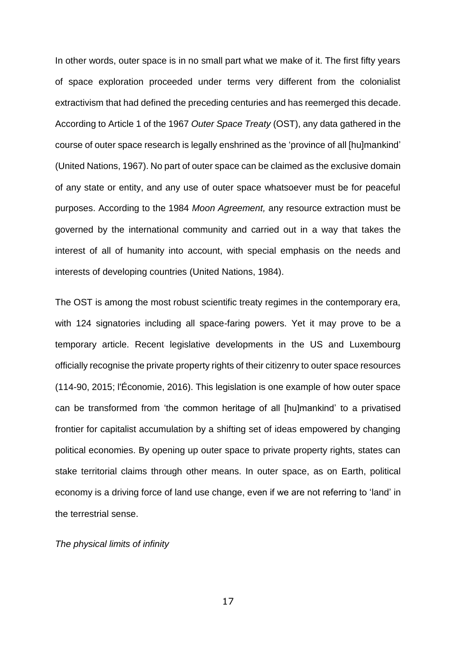In other words, outer space is in no small part what we make of it. The first fifty years of space exploration proceeded under terms very different from the colonialist extractivism that had defined the preceding centuries and has reemerged this decade. According to Article 1 of the 1967 *Outer Space Treaty* (OST), any data gathered in the course of outer space research is legally enshrined as the 'province of all [hu]mankind' (United Nations, 1967). No part of outer space can be claimed as the exclusive domain of any state or entity, and any use of outer space whatsoever must be for peaceful purposes. According to the 1984 *Moon Agreement,* any resource extraction must be governed by the international community and carried out in a way that takes the interest of all of humanity into account, with special emphasis on the needs and interests of developing countries (United Nations, 1984).

The OST is among the most robust scientific treaty regimes in the contemporary era, with 124 signatories including all space-faring powers. Yet it may prove to be a temporary article. Recent legislative developments in the US and Luxembourg officially recognise the private property rights of their citizenry to outer space resources (114-90, 2015; l'Économie, 2016). This legislation is one example of how outer space can be transformed from 'the common heritage of all [hu]mankind' to a privatised frontier for capitalist accumulation by a shifting set of ideas empowered by changing political economies. By opening up outer space to private property rights, states can stake territorial claims through other means. In outer space, as on Earth, political economy is a driving force of land use change, even if we are not referring to 'land' in the terrestrial sense.

## *The physical limits of infinity*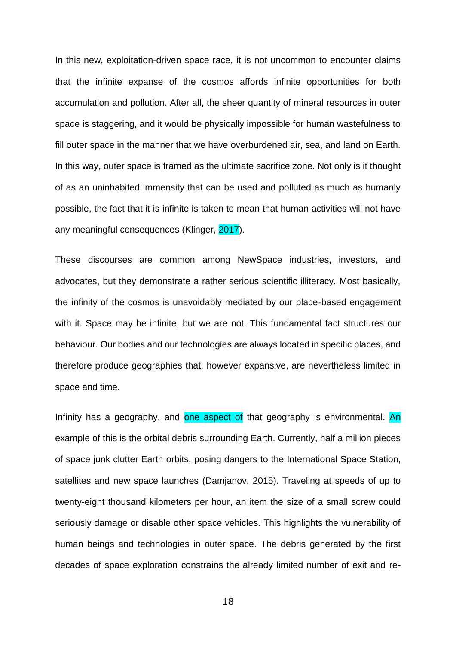In this new, exploitation-driven space race, it is not uncommon to encounter claims that the infinite expanse of the cosmos affords infinite opportunities for both accumulation and pollution. After all, the sheer quantity of mineral resources in outer space is staggering, and it would be physically impossible for human wastefulness to fill outer space in the manner that we have overburdened air, sea, and land on Earth. In this way, outer space is framed as the ultimate sacrifice zone. Not only is it thought of as an uninhabited immensity that can be used and polluted as much as humanly possible, the fact that it is infinite is taken to mean that human activities will not have any meaningful consequences (Klinger, 2017).

These discourses are common among NewSpace industries, investors, and advocates, but they demonstrate a rather serious scientific illiteracy. Most basically, the infinity of the cosmos is unavoidably mediated by our place-based engagement with it. Space may be infinite, but we are not. This fundamental fact structures our behaviour. Our bodies and our technologies are always located in specific places, and therefore produce geographies that, however expansive, are nevertheless limited in space and time.

Infinity has a geography, and one aspect of that geography is environmental. An example of this is the orbital debris surrounding Earth. Currently, half a million pieces of space junk clutter Earth orbits, posing dangers to the International Space Station, satellites and new space launches (Damjanov, 2015). Traveling at speeds of up to twenty-eight thousand kilometers per hour, an item the size of a small screw could seriously damage or disable other space vehicles. This highlights the vulnerability of human beings and technologies in outer space. The debris generated by the first decades of space exploration constrains the already limited number of exit and re-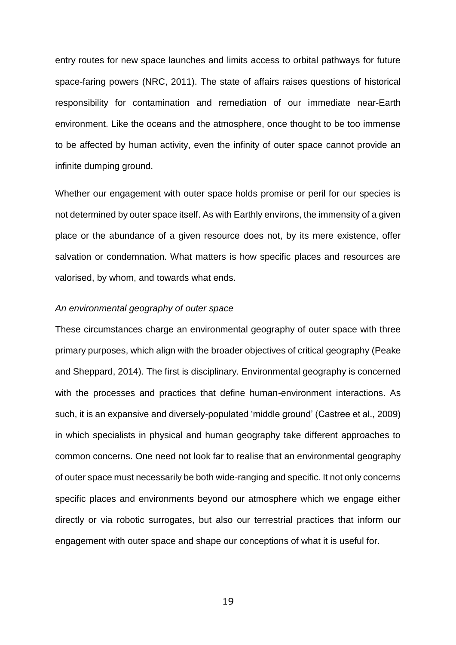entry routes for new space launches and limits access to orbital pathways for future space-faring powers (NRC, 2011). The state of affairs raises questions of historical responsibility for contamination and remediation of our immediate near-Earth environment. Like the oceans and the atmosphere, once thought to be too immense to be affected by human activity, even the infinity of outer space cannot provide an infinite dumping ground.

Whether our engagement with outer space holds promise or peril for our species is not determined by outer space itself. As with Earthly environs, the immensity of a given place or the abundance of a given resource does not, by its mere existence, offer salvation or condemnation. What matters is how specific places and resources are valorised, by whom, and towards what ends.

#### *An environmental geography of outer space*

These circumstances charge an environmental geography of outer space with three primary purposes, which align with the broader objectives of critical geography (Peake and Sheppard, 2014). The first is disciplinary. Environmental geography is concerned with the processes and practices that define human-environment interactions. As such, it is an expansive and diversely-populated 'middle ground' (Castree et al., 2009) in which specialists in physical and human geography take different approaches to common concerns. One need not look far to realise that an environmental geography of outer space must necessarily be both wide-ranging and specific. It not only concerns specific places and environments beyond our atmosphere which we engage either directly or via robotic surrogates, but also our terrestrial practices that inform our engagement with outer space and shape our conceptions of what it is useful for.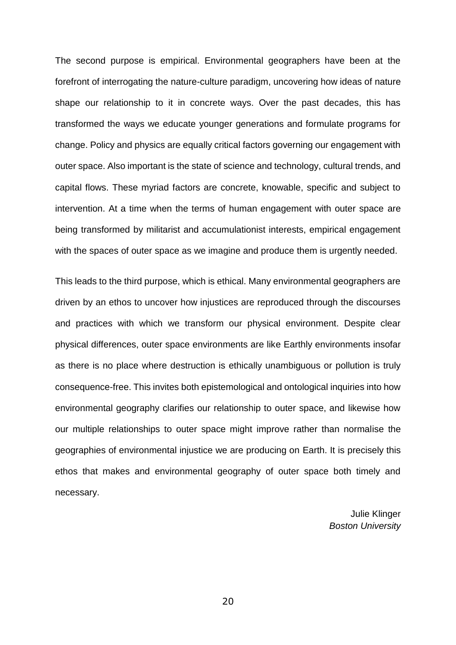The second purpose is empirical. Environmental geographers have been at the forefront of interrogating the nature-culture paradigm, uncovering how ideas of nature shape our relationship to it in concrete ways. Over the past decades, this has transformed the ways we educate younger generations and formulate programs for change. Policy and physics are equally critical factors governing our engagement with outer space. Also important is the state of science and technology, cultural trends, and capital flows. These myriad factors are concrete, knowable, specific and subject to intervention. At a time when the terms of human engagement with outer space are being transformed by militarist and accumulationist interests, empirical engagement with the spaces of outer space as we imagine and produce them is urgently needed.

This leads to the third purpose, which is ethical. Many environmental geographers are driven by an ethos to uncover how injustices are reproduced through the discourses and practices with which we transform our physical environment. Despite clear physical differences, outer space environments are like Earthly environments insofar as there is no place where destruction is ethically unambiguous or pollution is truly consequence-free. This invites both epistemological and ontological inquiries into how environmental geography clarifies our relationship to outer space, and likewise how our multiple relationships to outer space might improve rather than normalise the geographies of environmental injustice we are producing on Earth. It is precisely this ethos that makes and environmental geography of outer space both timely and necessary.

> Julie Klinger *Boston University*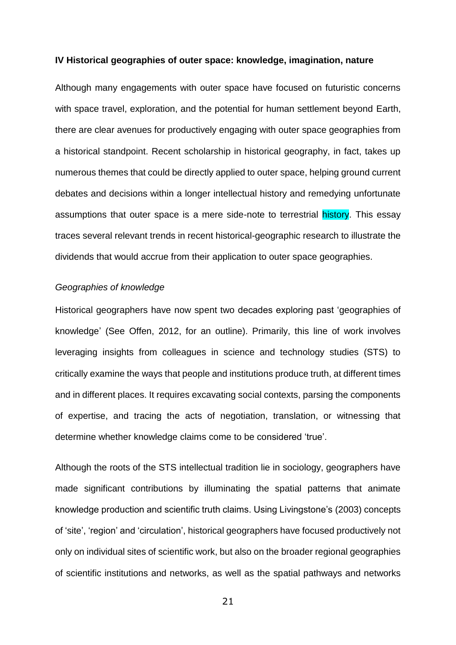#### **IV Historical geographies of outer space: knowledge, imagination, nature**

Although many engagements with outer space have focused on futuristic concerns with space travel, exploration, and the potential for human settlement beyond Earth, there are clear avenues for productively engaging with outer space geographies from a historical standpoint. Recent scholarship in historical geography, in fact, takes up numerous themes that could be directly applied to outer space, helping ground current debates and decisions within a longer intellectual history and remedying unfortunate assumptions that outer space is a mere side-note to terrestrial history. This essay traces several relevant trends in recent historical-geographic research to illustrate the dividends that would accrue from their application to outer space geographies.

## *Geographies of knowledge*

Historical geographers have now spent two decades exploring past 'geographies of knowledge' (See Offen, 2012, for an outline). Primarily, this line of work involves leveraging insights from colleagues in science and technology studies (STS) to critically examine the ways that people and institutions produce truth, at different times and in different places. It requires excavating social contexts, parsing the components of expertise, and tracing the acts of negotiation, translation, or witnessing that determine whether knowledge claims come to be considered 'true'.

Although the roots of the STS intellectual tradition lie in sociology, geographers have made significant contributions by illuminating the spatial patterns that animate knowledge production and scientific truth claims. Using Livingstone's (2003) concepts of 'site', 'region' and 'circulation', historical geographers have focused productively not only on individual sites of scientific work, but also on the broader regional geographies of scientific institutions and networks, as well as the spatial pathways and networks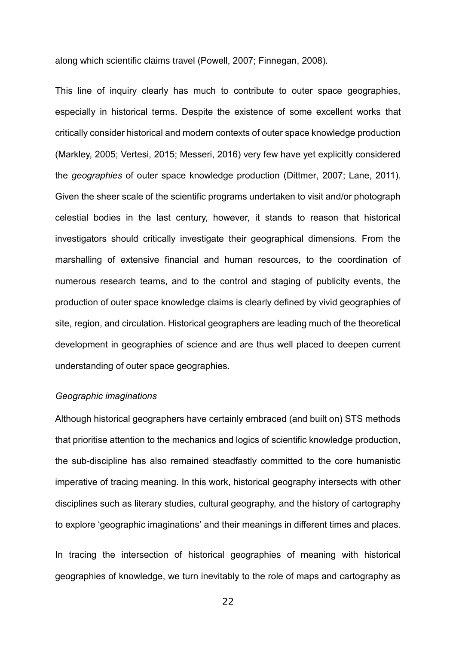along which scientific claims travel (Powell, 2007; Finnegan, 2008).

This line of inquiry clearly has much to contribute to outer space geographies, especially in historical terms. Despite the existence of some excellent works that critically consider historical and modern contexts of outer space knowledge production (Markley, 2005; Vertesi, 2015; Messeri, 2016) very few have yet explicitly considered the *geographies* of outer space knowledge production (Dittmer, 2007; Lane, 2011). Given the sheer scale of the scientific programs undertaken to visit and/or photograph celestial bodies in the last century, however, it stands to reason that historical investigators should critically investigate their geographical dimensions. From the marshalling of extensive financial and human resources, to the coordination of numerous research teams, and to the control and staging of publicity events, the production of outer space knowledge claims is clearly defined by vivid geographies of site, region, and circulation. Historical geographers are leading much of the theoretical development in geographies of science and are thus well placed to deepen current understanding of outer space geographies.

#### *Geographic imaginations*

Although historical geographers have certainly embraced (and built on) STS methods that prioritise attention to the mechanics and logics of scientific knowledge production, the sub-discipline has also remained steadfastly committed to the core humanistic imperative of tracing meaning. In this work, historical geography intersects with other disciplines such as literary studies, cultural geography, and the history of cartography to explore 'geographic imaginations' and their meanings in different times and places.

In tracing the intersection of historical geographies of meaning with historical geographies of knowledge, we turn inevitably to the role of maps and cartography as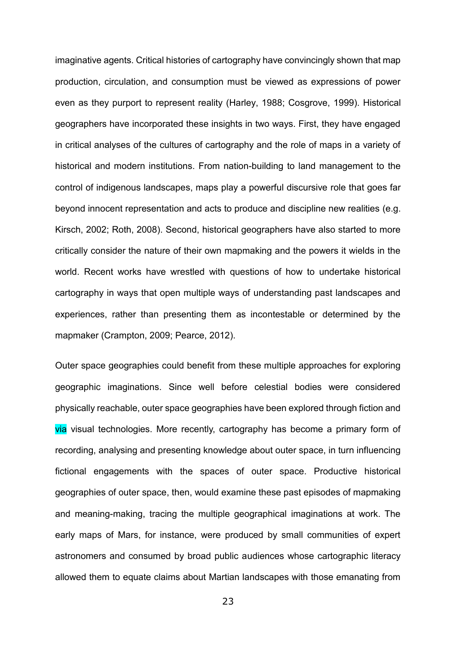imaginative agents. Critical histories of cartography have convincingly shown that map production, circulation, and consumption must be viewed as expressions of power even as they purport to represent reality (Harley, 1988; Cosgrove, 1999). Historical geographers have incorporated these insights in two ways. First, they have engaged in critical analyses of the cultures of cartography and the role of maps in a variety of historical and modern institutions. From nation-building to land management to the control of indigenous landscapes, maps play a powerful discursive role that goes far beyond innocent representation and acts to produce and discipline new realities (e.g. Kirsch, 2002; Roth, 2008). Second, historical geographers have also started to more critically consider the nature of their own mapmaking and the powers it wields in the world. Recent works have wrestled with questions of how to undertake historical cartography in ways that open multiple ways of understanding past landscapes and experiences, rather than presenting them as incontestable or determined by the mapmaker (Crampton, 2009; Pearce, 2012).

Outer space geographies could benefit from these multiple approaches for exploring geographic imaginations. Since well before celestial bodies were considered physically reachable, outer space geographies have been explored through fiction and via visual technologies. More recently, cartography has become a primary form of recording, analysing and presenting knowledge about outer space, in turn influencing fictional engagements with the spaces of outer space. Productive historical geographies of outer space, then, would examine these past episodes of mapmaking and meaning-making, tracing the multiple geographical imaginations at work. The early maps of Mars, for instance, were produced by small communities of expert astronomers and consumed by broad public audiences whose cartographic literacy allowed them to equate claims about Martian landscapes with those emanating from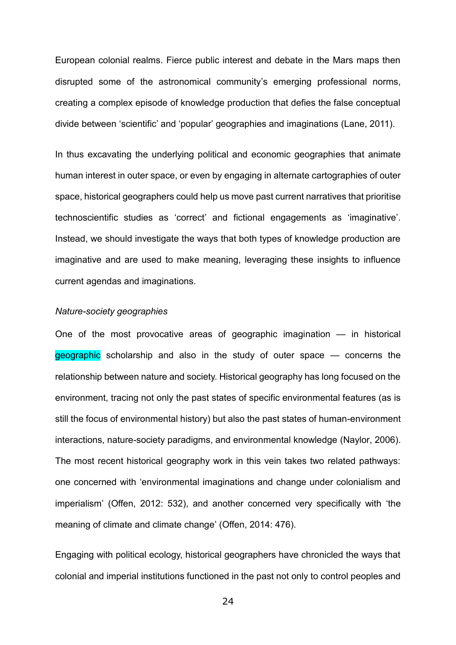European colonial realms. Fierce public interest and debate in the Mars maps then disrupted some of the astronomical community's emerging professional norms, creating a complex episode of knowledge production that defies the false conceptual divide between 'scientific' and 'popular' geographies and imaginations (Lane, 2011).

In thus excavating the underlying political and economic geographies that animate human interest in outer space, or even by engaging in alternate cartographies of outer space, historical geographers could help us move past current narratives that prioritise technoscientific studies as 'correct' and fictional engagements as 'imaginative'. Instead, we should investigate the ways that both types of knowledge production are imaginative and are used to make meaning, leveraging these insights to influence current agendas and imaginations.

#### *Nature-society geographies*

One of the most provocative areas of geographic imagination — in historical geographic scholarship and also in the study of outer space – concerns the relationship between nature and society. Historical geography has long focused on the environment, tracing not only the past states of specific environmental features (as is still the focus of environmental history) but also the past states of human-environment interactions, nature-society paradigms, and environmental knowledge (Naylor, 2006). The most recent historical geography work in this vein takes two related pathways: one concerned with 'environmental imaginations and change under colonialism and imperialism' (Offen, 2012: 532), and another concerned very specifically with 'the meaning of climate and climate change' (Offen, 2014: 476).

Engaging with political ecology, historical geographers have chronicled the ways that colonial and imperial institutions functioned in the past not only to control peoples and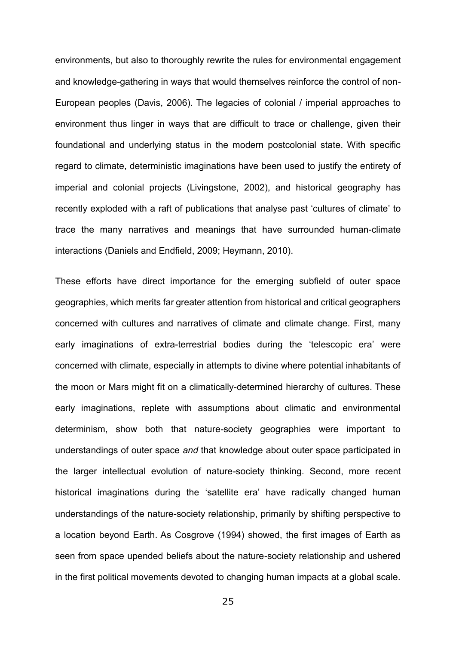environments, but also to thoroughly rewrite the rules for environmental engagement and knowledge-gathering in ways that would themselves reinforce the control of non-European peoples (Davis, 2006). The legacies of colonial / imperial approaches to environment thus linger in ways that are difficult to trace or challenge, given their foundational and underlying status in the modern postcolonial state. With specific regard to climate, deterministic imaginations have been used to justify the entirety of imperial and colonial projects (Livingstone, 2002), and historical geography has recently exploded with a raft of publications that analyse past 'cultures of climate' to trace the many narratives and meanings that have surrounded human-climate interactions (Daniels and Endfield, 2009; Heymann, 2010).

These efforts have direct importance for the emerging subfield of outer space geographies, which merits far greater attention from historical and critical geographers concerned with cultures and narratives of climate and climate change. First, many early imaginations of extra-terrestrial bodies during the 'telescopic era' were concerned with climate, especially in attempts to divine where potential inhabitants of the moon or Mars might fit on a climatically-determined hierarchy of cultures. These early imaginations, replete with assumptions about climatic and environmental determinism, show both that nature-society geographies were important to understandings of outer space *and* that knowledge about outer space participated in the larger intellectual evolution of nature-society thinking. Second, more recent historical imaginations during the 'satellite era' have radically changed human understandings of the nature-society relationship, primarily by shifting perspective to a location beyond Earth. As Cosgrove (1994) showed, the first images of Earth as seen from space upended beliefs about the nature-society relationship and ushered in the first political movements devoted to changing human impacts at a global scale.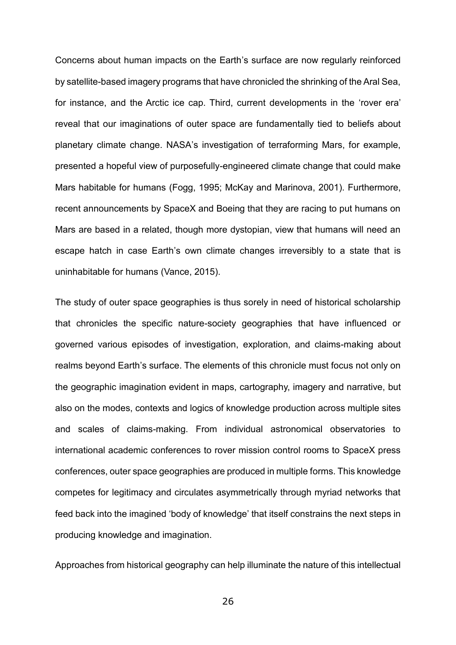Concerns about human impacts on the Earth's surface are now regularly reinforced by satellite-based imagery programs that have chronicled the shrinking of the Aral Sea, for instance, and the Arctic ice cap. Third, current developments in the 'rover era' reveal that our imaginations of outer space are fundamentally tied to beliefs about planetary climate change. NASA's investigation of terraforming Mars, for example, presented a hopeful view of purposefully-engineered climate change that could make Mars habitable for humans (Fogg, 1995; McKay and Marinova, 2001). Furthermore, recent announcements by SpaceX and Boeing that they are racing to put humans on Mars are based in a related, though more dystopian, view that humans will need an escape hatch in case Earth's own climate changes irreversibly to a state that is uninhabitable for humans (Vance, 2015).

The study of outer space geographies is thus sorely in need of historical scholarship that chronicles the specific nature-society geographies that have influenced or governed various episodes of investigation, exploration, and claims-making about realms beyond Earth's surface. The elements of this chronicle must focus not only on the geographic imagination evident in maps, cartography, imagery and narrative, but also on the modes, contexts and logics of knowledge production across multiple sites and scales of claims-making. From individual astronomical observatories to international academic conferences to rover mission control rooms to SpaceX press conferences, outer space geographies are produced in multiple forms. This knowledge competes for legitimacy and circulates asymmetrically through myriad networks that feed back into the imagined 'body of knowledge' that itself constrains the next steps in producing knowledge and imagination.

Approaches from historical geography can help illuminate the nature of this intellectual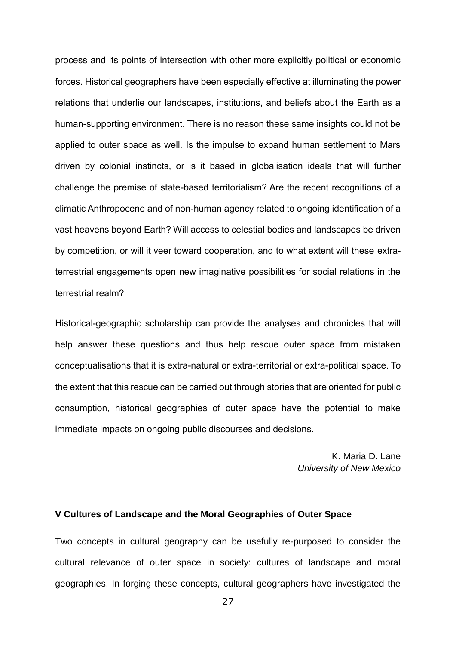process and its points of intersection with other more explicitly political or economic forces. Historical geographers have been especially effective at illuminating the power relations that underlie our landscapes, institutions, and beliefs about the Earth as a human-supporting environment. There is no reason these same insights could not be applied to outer space as well. Is the impulse to expand human settlement to Mars driven by colonial instincts, or is it based in globalisation ideals that will further challenge the premise of state-based territorialism? Are the recent recognitions of a climatic Anthropocene and of non-human agency related to ongoing identification of a vast heavens beyond Earth? Will access to celestial bodies and landscapes be driven by competition, or will it veer toward cooperation, and to what extent will these extraterrestrial engagements open new imaginative possibilities for social relations in the terrestrial realm?

Historical-geographic scholarship can provide the analyses and chronicles that will help answer these questions and thus help rescue outer space from mistaken conceptualisations that it is extra-natural or extra-territorial or extra-political space. To the extent that this rescue can be carried out through stories that are oriented for public consumption, historical geographies of outer space have the potential to make immediate impacts on ongoing public discourses and decisions.

> K. Maria D. Lane *University of New Mexico*

### **V Cultures of Landscape and the Moral Geographies of Outer Space**

Two concepts in cultural geography can be usefully re-purposed to consider the cultural relevance of outer space in society: cultures of landscape and moral geographies. In forging these concepts, cultural geographers have investigated the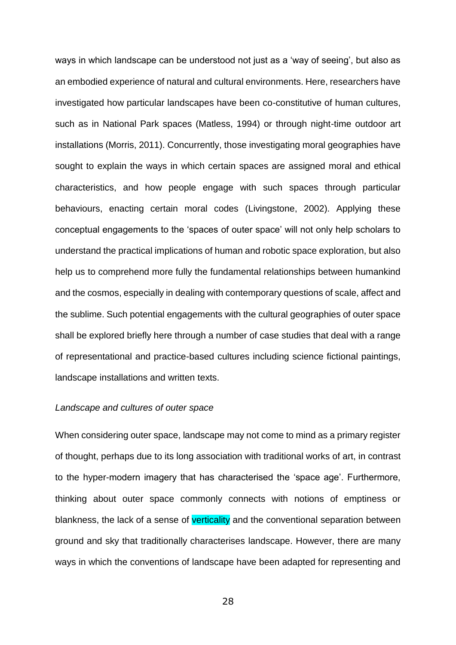ways in which landscape can be understood not just as a 'way of seeing', but also as an embodied experience of natural and cultural environments. Here, researchers have investigated how particular landscapes have been co-constitutive of human cultures, such as in National Park spaces (Matless, 1994) or through night-time outdoor art installations (Morris, 2011). Concurrently, those investigating moral geographies have sought to explain the ways in which certain spaces are assigned moral and ethical characteristics, and how people engage with such spaces through particular behaviours, enacting certain moral codes (Livingstone, 2002). Applying these conceptual engagements to the 'spaces of outer space' will not only help scholars to understand the practical implications of human and robotic space exploration, but also help us to comprehend more fully the fundamental relationships between humankind and the cosmos, especially in dealing with contemporary questions of scale, affect and the sublime. Such potential engagements with the cultural geographies of outer space shall be explored briefly here through a number of case studies that deal with a range of representational and practice-based cultures including science fictional paintings, landscape installations and written texts.

#### *Landscape and cultures of outer space*

When considering outer space, landscape may not come to mind as a primary register of thought, perhaps due to its long association with traditional works of art, in contrast to the hyper-modern imagery that has characterised the 'space age'. Furthermore, thinking about outer space commonly connects with notions of emptiness or blankness, the lack of a sense of verticality and the conventional separation between ground and sky that traditionally characterises landscape. However, there are many ways in which the conventions of landscape have been adapted for representing and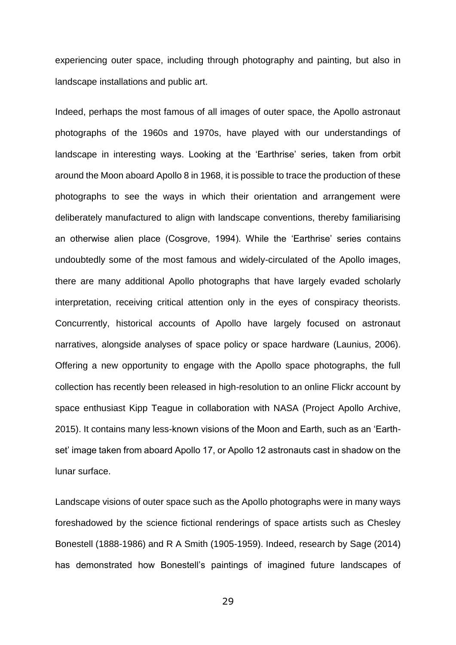experiencing outer space, including through photography and painting, but also in landscape installations and public art.

Indeed, perhaps the most famous of all images of outer space, the Apollo astronaut photographs of the 1960s and 1970s, have played with our understandings of landscape in interesting ways. Looking at the 'Earthrise' series, taken from orbit around the Moon aboard Apollo 8 in 1968, it is possible to trace the production of these photographs to see the ways in which their orientation and arrangement were deliberately manufactured to align with landscape conventions, thereby familiarising an otherwise alien place (Cosgrove, 1994). While the 'Earthrise' series contains undoubtedly some of the most famous and widely-circulated of the Apollo images, there are many additional Apollo photographs that have largely evaded scholarly interpretation, receiving critical attention only in the eyes of conspiracy theorists. Concurrently, historical accounts of Apollo have largely focused on astronaut narratives, alongside analyses of space policy or space hardware (Launius, 2006). Offering a new opportunity to engage with the Apollo space photographs, the full collection has recently been released in high-resolution to an online Flickr account by space enthusiast Kipp Teague in collaboration with NASA (Project Apollo Archive, 2015). It contains many less-known visions of the Moon and Earth, such as an 'Earthset' image taken from aboard Apollo 17, or Apollo 12 astronauts cast in shadow on the lunar surface.

Landscape visions of outer space such as the Apollo photographs were in many ways foreshadowed by the science fictional renderings of space artists such as Chesley Bonestell (1888-1986) and R A Smith (1905-1959). Indeed, research by Sage (2014) has demonstrated how Bonestell's paintings of imagined future landscapes of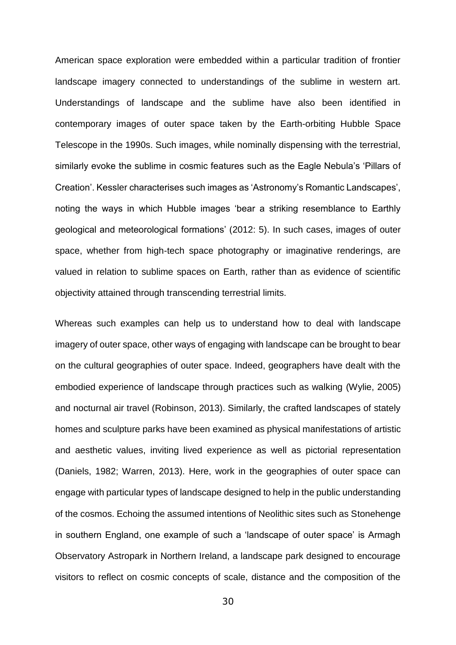American space exploration were embedded within a particular tradition of frontier landscape imagery connected to understandings of the sublime in western art. Understandings of landscape and the sublime have also been identified in contemporary images of outer space taken by the Earth-orbiting Hubble Space Telescope in the 1990s. Such images, while nominally dispensing with the terrestrial, similarly evoke the sublime in cosmic features such as the Eagle Nebula's 'Pillars of Creation'. Kessler characterises such images as 'Astronomy's Romantic Landscapes', noting the ways in which Hubble images 'bear a striking resemblance to Earthly geological and meteorological formations' (2012: 5). In such cases, images of outer space, whether from high-tech space photography or imaginative renderings, are valued in relation to sublime spaces on Earth, rather than as evidence of scientific objectivity attained through transcending terrestrial limits.

Whereas such examples can help us to understand how to deal with landscape imagery of outer space, other ways of engaging with landscape can be brought to bear on the cultural geographies of outer space. Indeed, geographers have dealt with the embodied experience of landscape through practices such as walking (Wylie, 2005) and nocturnal air travel (Robinson, 2013). Similarly, the crafted landscapes of stately homes and sculpture parks have been examined as physical manifestations of artistic and aesthetic values, inviting lived experience as well as pictorial representation (Daniels, 1982; Warren, 2013). Here, work in the geographies of outer space can engage with particular types of landscape designed to help in the public understanding of the cosmos. Echoing the assumed intentions of Neolithic sites such as Stonehenge in southern England, one example of such a 'landscape of outer space' is Armagh Observatory Astropark in Northern Ireland, a landscape park designed to encourage visitors to reflect on cosmic concepts of scale, distance and the composition of the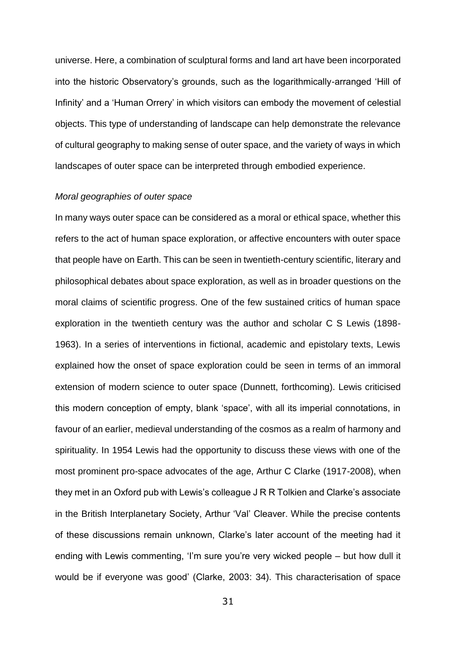universe. Here, a combination of sculptural forms and land art have been incorporated into the historic Observatory's grounds, such as the logarithmically-arranged 'Hill of Infinity' and a 'Human Orrery' in which visitors can embody the movement of celestial objects. This type of understanding of landscape can help demonstrate the relevance of cultural geography to making sense of outer space, and the variety of ways in which landscapes of outer space can be interpreted through embodied experience.

## *Moral geographies of outer space*

In many ways outer space can be considered as a moral or ethical space, whether this refers to the act of human space exploration, or affective encounters with outer space that people have on Earth. This can be seen in twentieth-century scientific, literary and philosophical debates about space exploration, as well as in broader questions on the moral claims of scientific progress. One of the few sustained critics of human space exploration in the twentieth century was the author and scholar C S Lewis (1898- 1963). In a series of interventions in fictional, academic and epistolary texts, Lewis explained how the onset of space exploration could be seen in terms of an immoral extension of modern science to outer space (Dunnett, forthcoming). Lewis criticised this modern conception of empty, blank 'space', with all its imperial connotations, in favour of an earlier, medieval understanding of the cosmos as a realm of harmony and spirituality. In 1954 Lewis had the opportunity to discuss these views with one of the most prominent pro-space advocates of the age, Arthur C Clarke (1917-2008), when they met in an Oxford pub with Lewis's colleague J R R Tolkien and Clarke's associate in the British Interplanetary Society, Arthur 'Val' Cleaver. While the precise contents of these discussions remain unknown, Clarke's later account of the meeting had it ending with Lewis commenting, 'I'm sure you're very wicked people – but how dull it would be if everyone was good' (Clarke, 2003: 34). This characterisation of space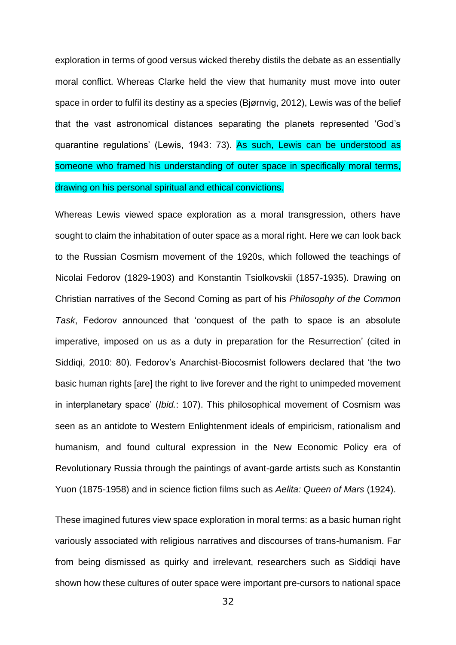exploration in terms of good versus wicked thereby distils the debate as an essentially moral conflict. Whereas Clarke held the view that humanity must move into outer space in order to fulfil its destiny as a species (Bjørnvig, 2012), Lewis was of the belief that the vast astronomical distances separating the planets represented 'God's quarantine regulations' (Lewis, 1943: 73). As such, Lewis can be understood as someone who framed his understanding of outer space in specifically moral terms, drawing on his personal spiritual and ethical convictions.

Whereas Lewis viewed space exploration as a moral transgression, others have sought to claim the inhabitation of outer space as a moral right. Here we can look back to the Russian Cosmism movement of the 1920s, which followed the teachings of Nicolai Fedorov (1829-1903) and Konstantin Tsiolkovskii (1857-1935). Drawing on Christian narratives of the Second Coming as part of his *Philosophy of the Common Task*, Fedorov announced that 'conquest of the path to space is an absolute imperative, imposed on us as a duty in preparation for the Resurrection' (cited in Siddiqi, 2010: 80). Fedorov's Anarchist-Biocosmist followers declared that 'the two basic human rights [are] the right to live forever and the right to unimpeded movement in interplanetary space' (*Ibid.*: 107). This philosophical movement of Cosmism was seen as an antidote to Western Enlightenment ideals of empiricism, rationalism and humanism, and found cultural expression in the New Economic Policy era of Revolutionary Russia through the paintings of avant-garde artists such as Konstantin Yuon (1875-1958) and in science fiction films such as *Aelita: Queen of Mars* (1924).

These imagined futures view space exploration in moral terms: as a basic human right variously associated with religious narratives and discourses of trans-humanism. Far from being dismissed as quirky and irrelevant, researchers such as Siddiqi have shown how these cultures of outer space were important pre-cursors to national space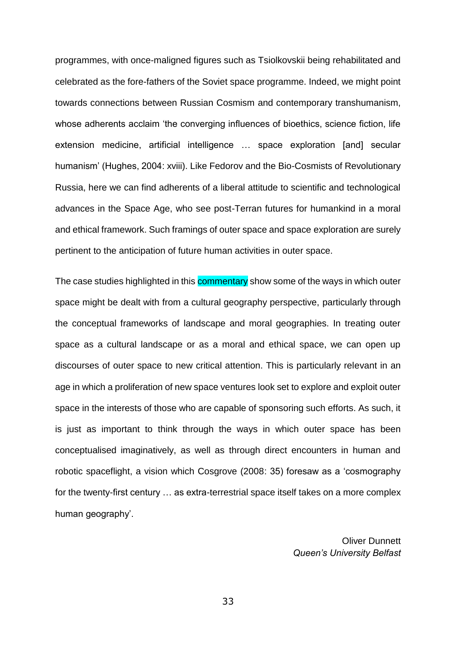programmes, with once-maligned figures such as Tsiolkovskii being rehabilitated and celebrated as the fore-fathers of the Soviet space programme. Indeed, we might point towards connections between Russian Cosmism and contemporary transhumanism, whose adherents acclaim 'the converging influences of bioethics, science fiction, life extension medicine, artificial intelligence … space exploration [and] secular humanism' (Hughes, 2004: xviii). Like Fedorov and the Bio-Cosmists of Revolutionary Russia, here we can find adherents of a liberal attitude to scientific and technological advances in the Space Age, who see post-Terran futures for humankind in a moral and ethical framework. Such framings of outer space and space exploration are surely pertinent to the anticipation of future human activities in outer space.

The case studies highlighted in this commentary show some of the ways in which outer space might be dealt with from a cultural geography perspective, particularly through the conceptual frameworks of landscape and moral geographies. In treating outer space as a cultural landscape or as a moral and ethical space, we can open up discourses of outer space to new critical attention. This is particularly relevant in an age in which a proliferation of new space ventures look set to explore and exploit outer space in the interests of those who are capable of sponsoring such efforts. As such, it is just as important to think through the ways in which outer space has been conceptualised imaginatively, as well as through direct encounters in human and robotic spaceflight, a vision which Cosgrove (2008: 35) foresaw as a 'cosmography for the twenty-first century … as extra-terrestrial space itself takes on a more complex human geography'.

> Oliver Dunnett *Queen's University Belfast*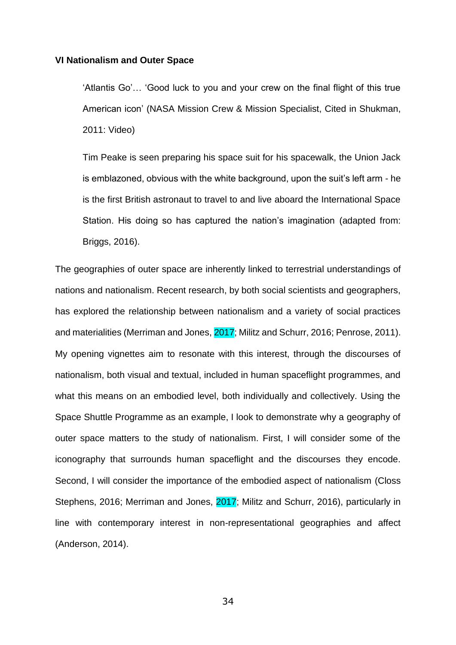## **VI Nationalism and Outer Space**

'Atlantis Go'… 'Good luck to you and your crew on the final flight of this true American icon' (NASA Mission Crew & Mission Specialist, Cited in Shukman, 2011: Video)

Tim Peake is seen preparing his space suit for his spacewalk, the Union Jack is emblazoned, obvious with the white background, upon the suit's left arm - he is the first British astronaut to travel to and live aboard the International Space Station. His doing so has captured the nation's imagination (adapted from: Briggs, 2016).

The geographies of outer space are inherently linked to terrestrial understandings of nations and nationalism. Recent research, by both social scientists and geographers, has explored the relationship between nationalism and a variety of social practices and materialities (Merriman and Jones, 2017; Militz and Schurr, 2016; Penrose, 2011). My opening vignettes aim to resonate with this interest, through the discourses of nationalism, both visual and textual, included in human spaceflight programmes, and what this means on an embodied level, both individually and collectively. Using the Space Shuttle Programme as an example, I look to demonstrate why a geography of outer space matters to the study of nationalism. First, I will consider some of the iconography that surrounds human spaceflight and the discourses they encode. Second, I will consider the importance of the embodied aspect of nationalism (Closs Stephens, 2016; Merriman and Jones, 2017; Militz and Schurr, 2016), particularly in line with contemporary interest in non-representational geographies and affect (Anderson, 2014).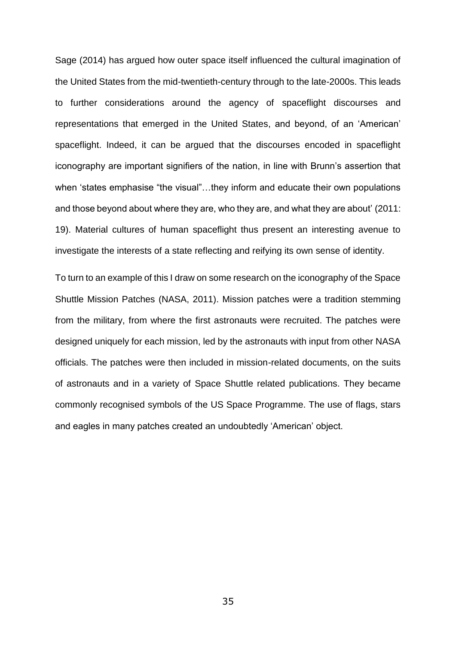Sage (2014) has argued how outer space itself influenced the cultural imagination of the United States from the mid-twentieth-century through to the late-2000s. This leads to further considerations around the agency of spaceflight discourses and representations that emerged in the United States, and beyond, of an 'American' spaceflight. Indeed, it can be argued that the discourses encoded in spaceflight iconography are important signifiers of the nation, in line with Brunn's assertion that when 'states emphasise "the visual"…they inform and educate their own populations and those beyond about where they are, who they are, and what they are about' (2011: 19). Material cultures of human spaceflight thus present an interesting avenue to investigate the interests of a state reflecting and reifying its own sense of identity.

To turn to an example of this I draw on some research on the iconography of the Space Shuttle Mission Patches (NASA, 2011). Mission patches were a tradition stemming from the military, from where the first astronauts were recruited. The patches were designed uniquely for each mission, led by the astronauts with input from other NASA officials. The patches were then included in mission-related documents, on the suits of astronauts and in a variety of Space Shuttle related publications. They became commonly recognised symbols of the US Space Programme. The use of flags, stars and eagles in many patches created an undoubtedly 'American' object.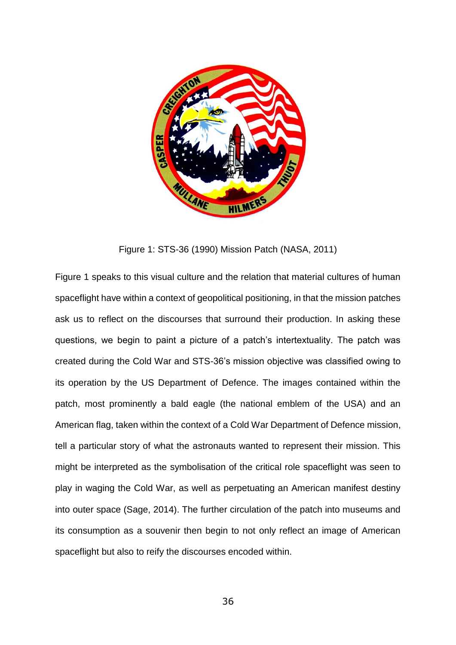

Figure 1: STS-36 (1990) Mission Patch (NASA, 2011)

Figure 1 speaks to this visual culture and the relation that material cultures of human spaceflight have within a context of geopolitical positioning, in that the mission patches ask us to reflect on the discourses that surround their production. In asking these questions, we begin to paint a picture of a patch's intertextuality. The patch was created during the Cold War and STS-36's mission objective was classified owing to its operation by the US Department of Defence. The images contained within the patch, most prominently a bald eagle (the national emblem of the USA) and an American flag, taken within the context of a Cold War Department of Defence mission, tell a particular story of what the astronauts wanted to represent their mission. This might be interpreted as the symbolisation of the critical role spaceflight was seen to play in waging the Cold War, as well as perpetuating an American manifest destiny into outer space (Sage, 2014). The further circulation of the patch into museums and its consumption as a souvenir then begin to not only reflect an image of American spaceflight but also to reify the discourses encoded within.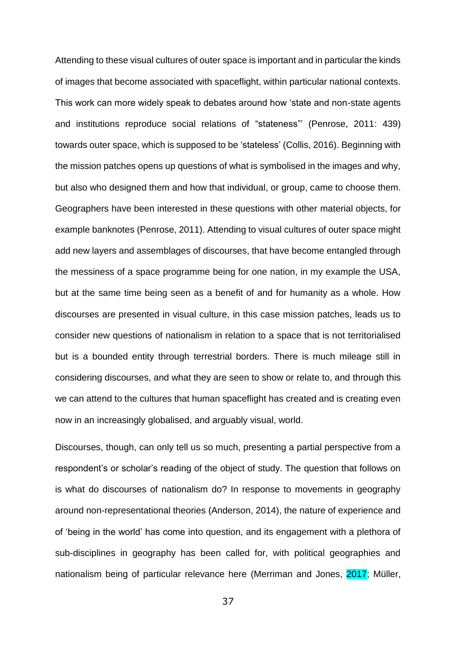Attending to these visual cultures of outer space is important and in particular the kinds of images that become associated with spaceflight, within particular national contexts. This work can more widely speak to debates around how 'state and non-state agents and institutions reproduce social relations of "stateness"' (Penrose, 2011: 439) towards outer space, which is supposed to be 'stateless' (Collis, 2016). Beginning with the mission patches opens up questions of what is symbolised in the images and why, but also who designed them and how that individual, or group, came to choose them. Geographers have been interested in these questions with other material objects, for example banknotes (Penrose, 2011). Attending to visual cultures of outer space might add new layers and assemblages of discourses, that have become entangled through the messiness of a space programme being for one nation, in my example the USA, but at the same time being seen as a benefit of and for humanity as a whole. How discourses are presented in visual culture, in this case mission patches, leads us to consider new questions of nationalism in relation to a space that is not territorialised but is a bounded entity through terrestrial borders. There is much mileage still in considering discourses, and what they are seen to show or relate to, and through this we can attend to the cultures that human spaceflight has created and is creating even now in an increasingly globalised, and arguably visual, world.

Discourses, though, can only tell us so much, presenting a partial perspective from a respondent's or scholar's reading of the object of study. The question that follows on is what do discourses of nationalism do? In response to movements in geography around non-representational theories (Anderson, 2014), the nature of experience and of 'being in the world' has come into question, and its engagement with a plethora of sub-disciplines in geography has been called for, with political geographies and nationalism being of particular relevance here (Merriman and Jones, 2017; Müller,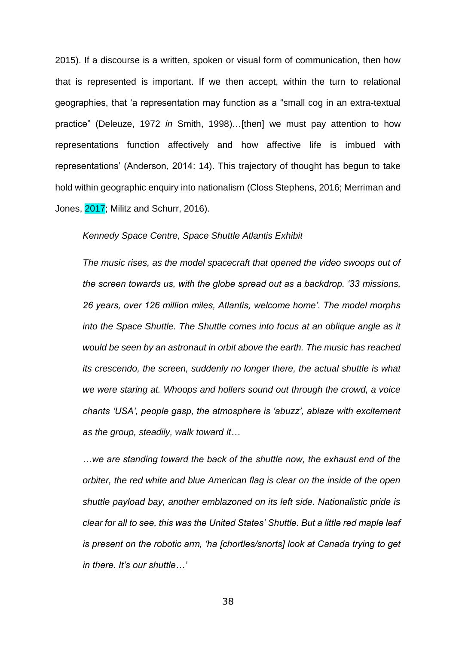2015). If a discourse is a written, spoken or visual form of communication, then how that is represented is important. If we then accept, within the turn to relational geographies, that 'a representation may function as a "small cog in an extra-textual practice" (Deleuze, 1972 *in* Smith, 1998)…[then] we must pay attention to how representations function affectively and how affective life is imbued with representations' (Anderson, 2014: 14). This trajectory of thought has begun to take hold within geographic enquiry into nationalism (Closs Stephens, 2016; Merriman and Jones, 2017; Militz and Schurr, 2016).

#### *Kennedy Space Centre, Space Shuttle Atlantis Exhibit*

*The music rises, as the model spacecraft that opened the video swoops out of the screen towards us, with the globe spread out as a backdrop. '33 missions, 26 years, over 126 million miles, Atlantis, welcome home'. The model morphs into the Space Shuttle. The Shuttle comes into focus at an oblique angle as it would be seen by an astronaut in orbit above the earth. The music has reached its crescendo, the screen, suddenly no longer there, the actual shuttle is what we were staring at. Whoops and hollers sound out through the crowd, a voice chants 'USA', people gasp, the atmosphere is 'abuzz', ablaze with excitement as the group, steadily, walk toward it…*

*…we are standing toward the back of the shuttle now, the exhaust end of the orbiter, the red white and blue American flag is clear on the inside of the open shuttle payload bay, another emblazoned on its left side. Nationalistic pride is clear for all to see, this was the United States' Shuttle. But a little red maple leaf is present on the robotic arm, 'ha [chortles/snorts] look at Canada trying to get in there. It's our shuttle…'*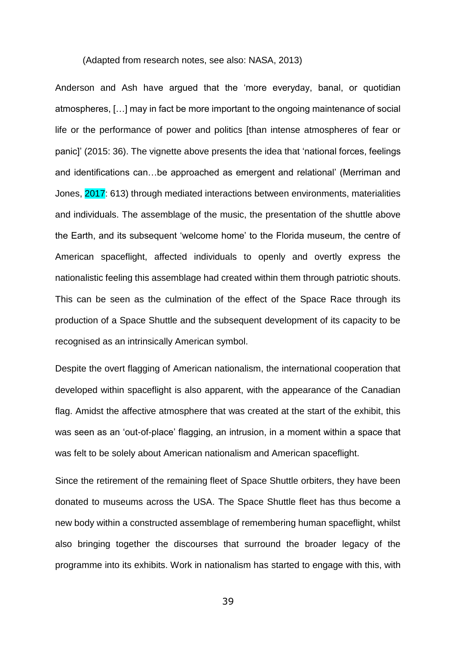#### (Adapted from research notes, see also: NASA, 2013)

Anderson and Ash have argued that the 'more everyday, banal, or quotidian atmospheres, […] may in fact be more important to the ongoing maintenance of social life or the performance of power and politics [than intense atmospheres of fear or panic]' (2015: 36). The vignette above presents the idea that 'national forces, feelings and identifications can…be approached as emergent and relational' (Merriman and Jones, 2017: 613) through mediated interactions between environments, materialities and individuals. The assemblage of the music, the presentation of the shuttle above the Earth, and its subsequent 'welcome home' to the Florida museum, the centre of American spaceflight, affected individuals to openly and overtly express the nationalistic feeling this assemblage had created within them through patriotic shouts. This can be seen as the culmination of the effect of the Space Race through its production of a Space Shuttle and the subsequent development of its capacity to be recognised as an intrinsically American symbol.

Despite the overt flagging of American nationalism, the international cooperation that developed within spaceflight is also apparent, with the appearance of the Canadian flag. Amidst the affective atmosphere that was created at the start of the exhibit, this was seen as an 'out-of-place' flagging, an intrusion, in a moment within a space that was felt to be solely about American nationalism and American spaceflight.

Since the retirement of the remaining fleet of Space Shuttle orbiters, they have been donated to museums across the USA. The Space Shuttle fleet has thus become a new body within a constructed assemblage of remembering human spaceflight, whilst also bringing together the discourses that surround the broader legacy of the programme into its exhibits. Work in nationalism has started to engage with this, with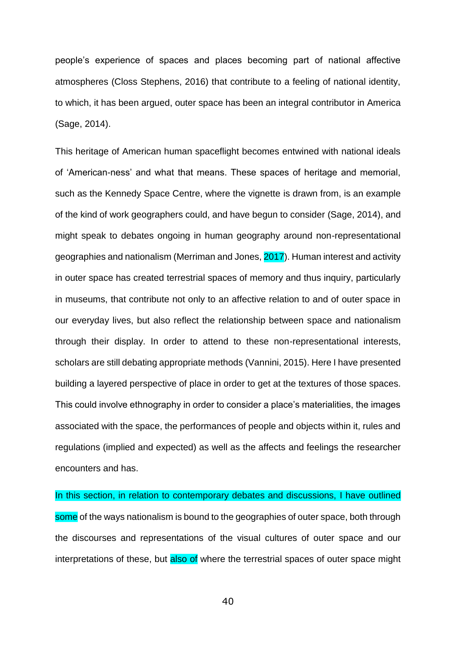people's experience of spaces and places becoming part of national affective atmospheres (Closs Stephens, 2016) that contribute to a feeling of national identity, to which, it has been argued, outer space has been an integral contributor in America (Sage, 2014).

This heritage of American human spaceflight becomes entwined with national ideals of 'American-ness' and what that means. These spaces of heritage and memorial, such as the Kennedy Space Centre, where the vignette is drawn from, is an example of the kind of work geographers could, and have begun to consider (Sage, 2014), and might speak to debates ongoing in human geography around non-representational geographies and nationalism (Merriman and Jones, 2017). Human interest and activity in outer space has created terrestrial spaces of memory and thus inquiry, particularly in museums, that contribute not only to an affective relation to and of outer space in our everyday lives, but also reflect the relationship between space and nationalism through their display. In order to attend to these non-representational interests, scholars are still debating appropriate methods (Vannini, 2015). Here I have presented building a layered perspective of place in order to get at the textures of those spaces. This could involve ethnography in order to consider a place's materialities, the images associated with the space, the performances of people and objects within it, rules and regulations (implied and expected) as well as the affects and feelings the researcher encounters and has.

In this section, in relation to contemporary debates and discussions, I have outlined some of the ways nationalism is bound to the geographies of outer space, both through the discourses and representations of the visual cultures of outer space and our interpretations of these, but also of where the terrestrial spaces of outer space might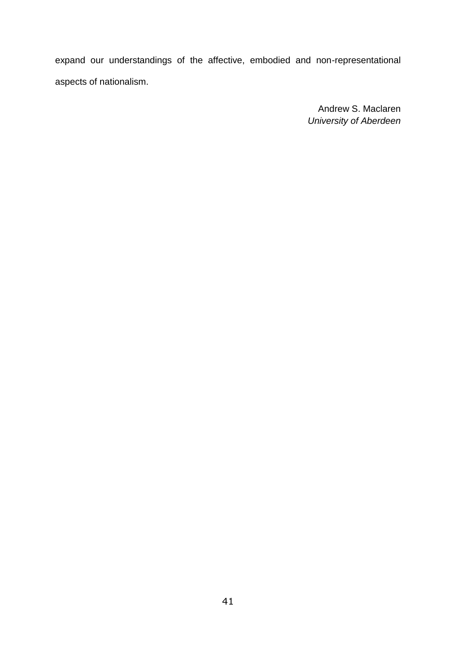expand our understandings of the affective, embodied and non-representational aspects of nationalism.

> Andrew S. Maclaren *University of Aberdeen*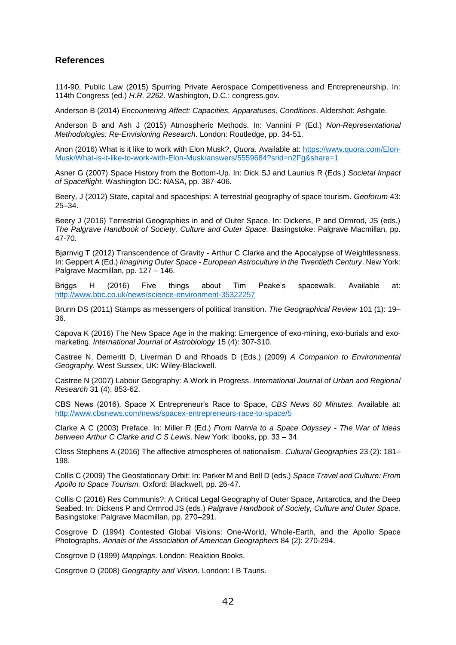## **References**

114-90, Public Law (2015) Spurring Private Aerospace Competitiveness and Entrepreneurship. In: 114th Congress (ed.) *H.R. 2262*. Washington, D.C.: congress.gov.

Anderson B (2014) *Encountering Affect: Capacities, Apparatuses, Conditions*. Aldershot: Ashgate.

Anderson B and Ash J (2015) Atmospheric Methods. In: Vannini P (Ed.) *Non-Representational Methodologies: Re-Envisioning Research*. London: Routledge, pp. 34-51.

Anon (2016) What is it like to work with Elon Musk?, *Quora*. Available at: [https://www.quora.com/Elon-](https://www.quora.com/Elon-Musk/What-is-it-like-to-work-with-Elon-Musk/answers/5559684?srid=n2Fg&share=1)[Musk/What-is-it-like-to-work-with-Elon-Musk/answers/5559684?srid=n2Fg&share=1](https://www.quora.com/Elon-Musk/What-is-it-like-to-work-with-Elon-Musk/answers/5559684?srid=n2Fg&share=1)

Asner G (2007) Space History from the Bottom-Up. In: Dick SJ and Launius R (Eds.) *Societal Impact of Spaceflight.* Washington DC: NASA, pp. 387-406.

Beery, J (2012) State, capital and spaceships: A terrestrial geography of space tourism. *Geoforum* 43: 25–34.

Beery J (2016) Terrestrial Geographies in and of Outer Space. In: Dickens, P and Ormrod, JS (eds.) *The Palgrave Handbook of Society, Culture and Outer Space.* Basingstoke: Palgrave Macmillan, pp. 47-70.

Bjørnvig T (2012) Transcendence of Gravity - Arthur C Clarke and the Apocalypse of Weightlessness. In: Geppert A (Ed.) *Imagining Outer Space - European Astroculture in the Twentieth Century*. New York: Palgrave Macmillan, pp. 127 – 146.

Briggs H (2016) Five things about Tim Peake's spacewalk. Available at: <http://www.bbc.co.uk/news/science-environment-35322257>

Brunn DS (2011) Stamps as messengers of political transition. *The Geographical Review* 101 (1): 19– 36.

Capova K (2016) The New Space Age in the making: Emergence of exo-mining, exo-burials and exomarketing. *International Journal of Astrobiology* 15 (4): 307-310.

Castree N, Demeritt D, Liverman D and Rhoads D (Eds.) (2009) *A Companion to Environmental Geography.* West Sussex, UK: Wiley-Blackwell.

Castree N (2007) Labour Geography: A Work in Progress. *International Journal of Urban and Regional Research* 31 (4): 853-62.

CBS News (2016), Space X Entrepreneur's Race to Space, *CBS News 60 Minutes*. Available at: <http://www.cbsnews.com/news/spacex-entrepreneurs-race-to-space/5>

Clarke A C (2003) Preface. In: Miller R (Ed.) *From Narnia to a Space Odyssey - The War of Ideas between Arthur C Clarke and C S Lewis*. New York: ibooks, pp. 33 – 34.

Closs Stephens A (2016) The affective atmospheres of nationalism. *Cultural Geographies* 23 (2): 181– 198.

Collis C (2009) The Geostationary Orbit: In: Parker M and Bell D (eds.) *Space Travel and Culture: From Apollo to Space Tourism.* Oxford: Blackwell, pp. 26-47.

Collis C (2016) Res Communis?: A Critical Legal Geography of Outer Space, Antarctica, and the Deep Seabed. In: Dickens P and Ormrod JS (eds.) *Palgrave Handbook of Society, Culture and Outer Space.*  Basingstoke: Palgrave Macmillan, pp. 270–291.

Cosgrove D (1994) Contested Global Visions: One-World, Whole-Earth, and the Apollo Space Photographs. *Annals of the Association of American Geographers* 84 (2): 270-294.

Cosgrove D (1999) *Mappings*. London: Reaktion Books.

Cosgrove D (2008) *Geography and Vision*. London: I B Tauris.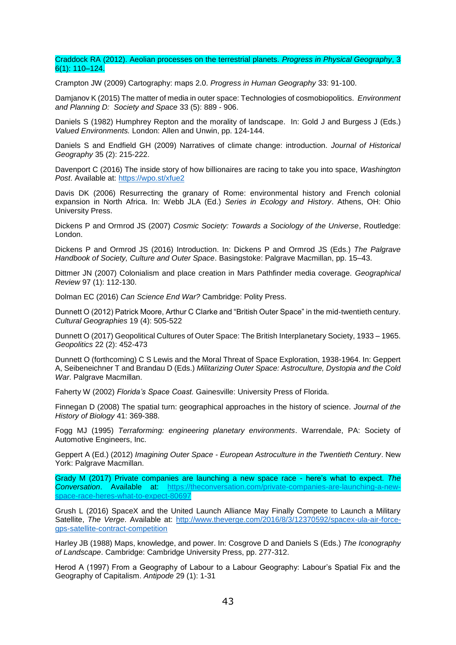#### Craddock RA (2012). Aeolian processes on the terrestrial planets. *Progress in Physical Geography*, 3 6(1): 110–124.

Crampton JW (2009) Cartography: maps 2.0. *Progress in Human Geography* 33: 91-100.

Damjanov K (2015) The matter of media in outer space: Technologies of cosmobiopolitics. *Environment and Planning D: Society and Space* 33 (5): 889 - 906.

Daniels S (1982) Humphrey Repton and the morality of landscape. In: Gold J and Burgess J (Eds.) *Valued Environments.* London: Allen and Unwin, pp. 124-144.

Daniels S and Endfield GH (2009) Narratives of climate change: introduction. *Journal of Historical Geography* 35 (2): 215-222.

Davenport C (2016) The inside story of how billionaires are racing to take you into space, *Washington Post*. Available at:<https://wpo.st/xfue2>

Davis DK (2006) Resurrecting the granary of Rome: environmental history and French colonial expansion in North Africa. In: Webb JLA (Ed.) *Series in Ecology and History*. Athens, OH: Ohio University Press.

Dickens P and Ormrod JS (2007) *Cosmic Society: Towards a Sociology of the Universe*, Routledge: London.

Dickens P and Ormrod JS (2016) Introduction. In: Dickens P and Ormrod JS (Eds.) *The Palgrave Handbook of Society, Culture and Outer Space*. Basingstoke: Palgrave Macmillan, pp. 15–43.

Dittmer JN (2007) Colonialism and place creation in Mars Pathfinder media coverage. *Geographical Review* 97 (1): 112-130.

Dolman EC (2016) *Can Science End War?* Cambridge: Polity Press.

Dunnett O (2012) Patrick Moore, Arthur C Clarke and "British Outer Space" in the mid-twentieth century. *Cultural Geographies* 19 (4): 505-522

Dunnett O (2017) Geopolitical Cultures of Outer Space: The British Interplanetary Society, 1933 – 1965. *Geopolitics* 22 (2): 452-473

Dunnett O (forthcoming) C S Lewis and the Moral Threat of Space Exploration, 1938-1964. In: Geppert A, Seibeneichner T and Brandau D (Eds.) *Militarizing Outer Space: Astroculture, Dystopia and the Cold War*. Palgrave Macmillan.

Faherty W (2002) *Florida's Space Coast.* Gainesville: University Press of Florida.

Finnegan D (2008) The spatial turn: geographical approaches in the history of science. *Journal of the History of Biology* 41: 369-388.

Fogg MJ (1995) *Terraforming: engineering planetary environments*. Warrendale, PA: Society of Automotive Engineers, Inc.

Geppert A (Ed.) (2012) *Imagining Outer Space - European Astroculture in the Twentieth Century*. New York: Palgrave Macmillan.

Grady M (2017) Private companies are launching a new space race - here's what to expect. *The Conversation*. Available at: [https://theconversation.com/private-companies-are-launching-a-new](https://theconversation.com/private-companies-are-launching-a-new-space-race-heres-what-to-expect-80697)[space-race-heres-what-to-expect-80697](https://theconversation.com/private-companies-are-launching-a-new-space-race-heres-what-to-expect-80697)

Grush L (2016) SpaceX and the United Launch Alliance May Finally Compete to Launch a Military Satellite, *The Verge*. Available at: [http://www.theverge.com/2016/8/3/12370592/spacex-ula-air-force](http://www.theverge.com/2016/8/3/12370592/spacex-ula-air-force-gps-satellite-contract-competition)[gps-satellite-contract-competition](http://www.theverge.com/2016/8/3/12370592/spacex-ula-air-force-gps-satellite-contract-competition)

Harley JB (1988) Maps, knowledge, and power. In: Cosgrove D and Daniels S (Eds.) *The Iconography of Landscape*. Cambridge: Cambridge University Press, pp. 277-312.

Herod A (1997) From a Geography of Labour to a Labour Geography: Labour's Spatial Fix and the Geography of Capitalism. *Antipode* 29 (1): 1-31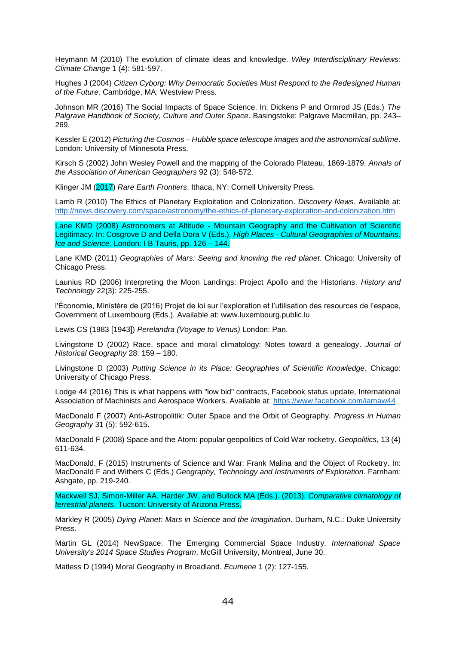Heymann M (2010) The evolution of climate ideas and knowledge. *Wiley Interdisciplinary Reviews: Climate Change* 1 (4): 581-597.

Hughes J (2004) *Citizen Cyborg: Why Democratic Societies Must Respond to the Redesigned Human of the Future*. Cambridge, MA: Westview Press.

Johnson MR (2016) The Social Impacts of Space Science. In: Dickens P and Ormrod JS (Eds.) *The Palgrave Handbook of Society, Culture and Outer Space*. Basingstoke: Palgrave Macmillan, pp. 243– 269.

Kessler E (2012) *Picturing the Cosmos – Hubble space telescope images and the astronomical sublime*. London: University of Minnesota Press.

Kirsch S (2002) John Wesley Powell and the mapping of the Colorado Plateau, 1869-1879. *Annals of the Association of American Geographers* 92 (3): 548-572.

Klinger JM (2017) *Rare Earth Frontiers*. Ithaca, NY: Cornell University Press.

Lamb R (2010) The Ethics of Planetary Exploitation and Colonization. *Discovery News*. Available at: <http://news.discovery.com/space/astronomy/the-ethics-of-planetary-exploration-and-colonization.htm>

Lane KMD (2008) Astronomers at Altitude - Mountain Geography and the Cultivation of Scientific Legitimacy. In: Cosgrove D and Della Dora V (Eds.). *High Places - Cultural Geographies of Mountains, Ice and Science.* London: I B Tauris, pp. 126 – 144.

Lane KMD (2011) *Geographies of Mars: Seeing and knowing the red planet.* Chicago: University of Chicago Press.

Launius RD (2006) Interpreting the Moon Landings: Project Apollo and the Historians. *History and Technology* 22(3): 225-255.

l'Économie, Ministère de (2016) Projet de loi sur l'exploration et l'utilisation des resources de l'espace, Government of Luxembourg (Eds.). Available at: www.luxembourg.public.lu

Lewis CS (1983 [1943]) *Perelandra (Voyage to Venus)* London: Pan.

Livingstone D (2002) Race, space and moral climatology: Notes toward a genealogy. *Journal of Historical Geography* 28: 159 – 180.

Livingstone D (2003) *Putting Science in its Place: Geographies of Scientific Knowledge.* Chicago: University of Chicago Press.

Lodge 44 (2016) This is what happens with "low bid" contracts, Facebook status update, International Association of Machinists and Aerospace Workers. Available at:<https://www.facebook.com/iamaw44>

MacDonald F (2007) Anti-Astropolitik: Outer Space and the Orbit of Geography. *Progress in Human Geography* 31 (5): 592-615.

MacDonald F (2008) Space and the Atom: popular geopolitics of Cold War rocketry. *Geopolitics,* 13 (4) 611-634.

MacDonald, F (2015) Instruments of Science and War: Frank Malina and the Object of Rocketry. In: MacDonald F and Withers C (Eds.) *Geography, Technology and Instruments of Exploration.* Farnham: Ashgate, pp. 219-240.

Mackwell SJ, Simon-Miller AA, Harder JW, and Bullock MA (Eds.). (2013). *Comparative climatology of terrestrial planets*. Tucson: University of Arizona Press.

Markley R (2005) *Dying Planet: Mars in Science and the Imagination*. Durham, N.C.: Duke University Press.

Martin GL (2014) NewSpace: The Emerging Commercial Space Industry. *International Space University's 2014 Space Studies Program*, McGill University, Montreal, June 30.

Matless D (1994) Moral Geography in Broadland. *Ecumene* 1 (2): 127-155.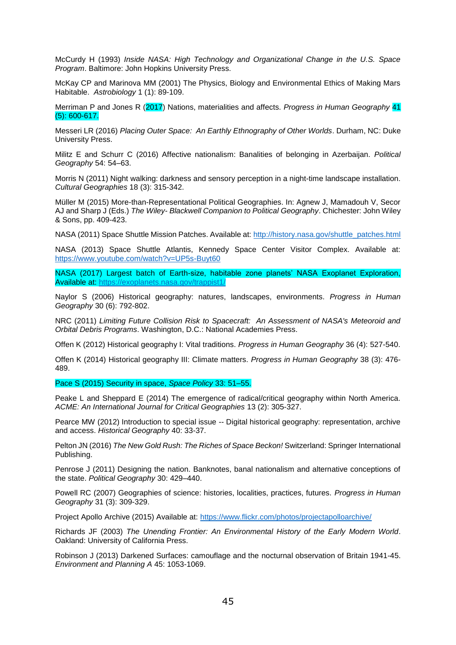McCurdy H (1993) *Inside NASA: High Technology and Organizational Change in the U.S. Space Program*. Baltimore: John Hopkins University Press.

McKay CP and Marinova MM (2001) The Physics, Biology and Environmental Ethics of Making Mars Habitable. *Astrobiology* 1 (1): 89-109.

Merriman P and Jones R (2017) Nations, materialities and affects. *Progress in Human Geography* 41 (5): 600-617.

Messeri LR (2016) *Placing Outer Space: An Earthly Ethnography of Other Worlds*. Durham, NC: Duke University Press.

Militz E and Schurr C (2016) Affective nationalism: Banalities of belonging in Azerbaijan. *Political Geography* 54: 54–63.

Morris N (2011) Night walking: darkness and sensory perception in a night-time landscape installation. *Cultural Geographies* 18 (3): 315-342.

Müller M (2015) More-than-Representational Political Geographies. In: Agnew J, Mamadouh V, Secor AJ and Sharp J (Eds.) *The Wiley- Blackwell Companion to Political Geography*. Chichester: John Wiley & Sons, pp. 409-423.

NASA (2011) Space Shuttle Mission Patches. Available at: [http://history.nasa.gov/shuttle\\_patches.html](http://history.nasa.gov/shuttle_patches.html)

NASA (2013) Space Shuttle Atlantis, Kennedy Space Center Visitor Complex. Available at: <https://www.youtube.com/watch?v=UP5s-Buyt60>

NASA (2017) Largest batch of Earth-size, habitable zone planets' NASA Exoplanet Exploration, Available at:<https://exoplanets.nasa.gov/trappist1/>

Naylor S (2006) Historical geography: natures, landscapes, environments. *Progress in Human Geography* 30 (6): 792-802.

NRC (2011) *Limiting Future Collision Risk to Spacecraft: An Assessment of NASA's Meteoroid and Orbital Debris Programs*. Washington, D.C.: National Academies Press.

Offen K (2012) Historical geography I: Vital traditions. *Progress in Human Geography* 36 (4): 527-540.

Offen K (2014) Historical geography III: Climate matters. *Progress in Human Geography* 38 (3): 476- 489.

Pace S (2015) Security in space, *Space Policy* 33: 51–55.

Peake L and Sheppard E (2014) The emergence of radical/critical geography within North America. *ACME: An International Journal for Critical Geographies* 13 (2): 305-327.

Pearce MW (2012) Introduction to special issue -- Digital historical geography: representation, archive and access. *Historical Geography* 40: 33-37.

Pelton JN (2016) *The New Gold Rush: The Riches of Space Beckon!* Switzerland: Springer International Publishing.

Penrose J (2011) Designing the nation. Banknotes, banal nationalism and alternative conceptions of the state. *Political Geography* 30: 429–440.

Powell RC (2007) Geographies of science: histories, localities, practices, futures. *Progress in Human Geography* 31 (3): 309-329.

Project Apollo Archive (2015) Available at:<https://www.flickr.com/photos/projectapolloarchive/>

Richards JF (2003) *The Unending Frontier: An Environmental History of the Early Modern World*. Oakland: University of California Press.

Robinson J (2013) Darkened Surfaces: camouflage and the nocturnal observation of Britain 1941-45. *Environment and Planning A* 45: 1053-1069.